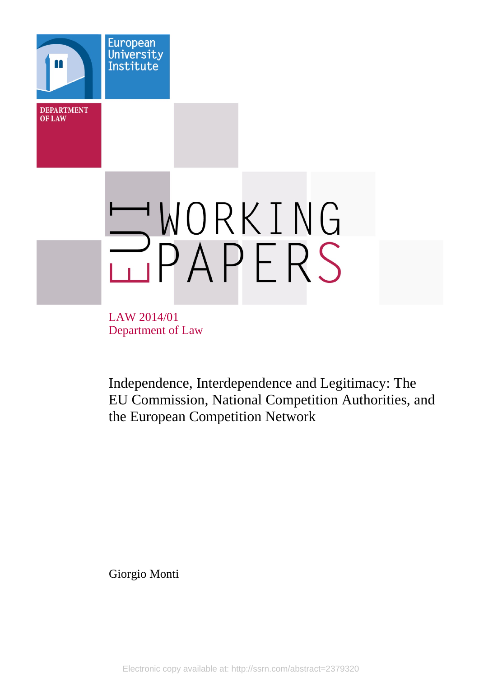

LAW 2014/01 Department of Law

Independence, Interdependence and Legitimacy: The EU Commission, National Competition Authorities, and the European Competition Network

<span id="page-0-0"></span>Giorgio Monti

Electronic copy available at: http://ssrn.com/abstract=2379320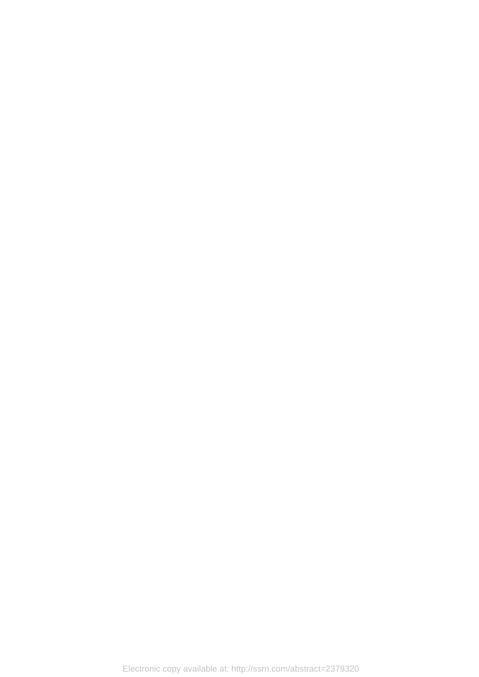Electronic copy available at: http://ssrn.com/abstract=2379320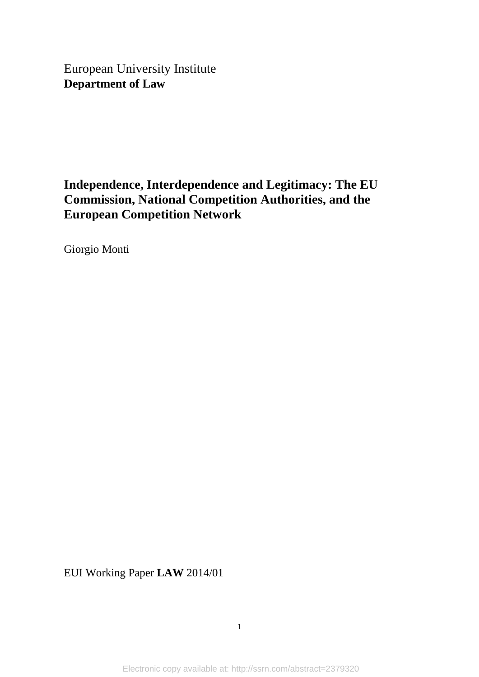European University Institute **Department of Law**

# **Independence, Interdependence and Legitimacy: The EU Commission, National Competition Authorities, and the European Competition Network**

Giorgio Monti

EUI Working Paper **LAW** 2014/01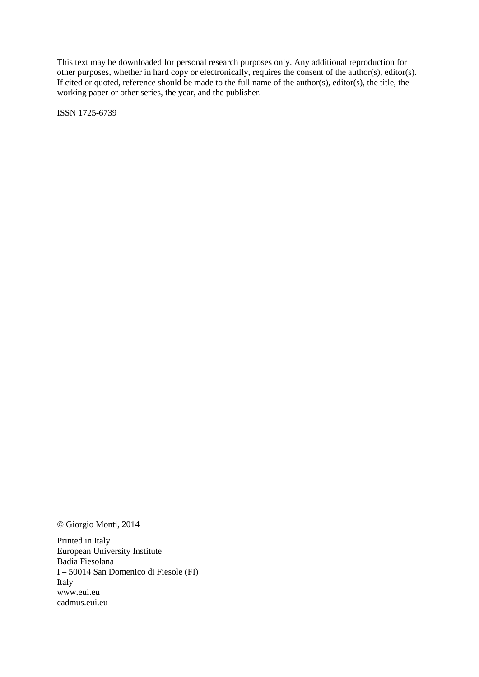This text may be downloaded for personal research purposes only. Any additional reproduction for other purposes, whether in hard copy or electronically, requires the consent of the author(s), editor(s). If cited or quoted, reference should be made to the full name of the author(s), editor(s), the title, the working paper or other series, the year, and the publisher.

ISSN 1725-6739

© Giorgio Monti, 2014

Printed in Italy European University Institute Badia Fiesolana I – 50014 San Domenico di Fiesole (FI) Italy [www.eui.eu](http://www.eui.eu/) [cadmus.eui.eu](http://cadmus.eui.eu/dspace/index.jsp)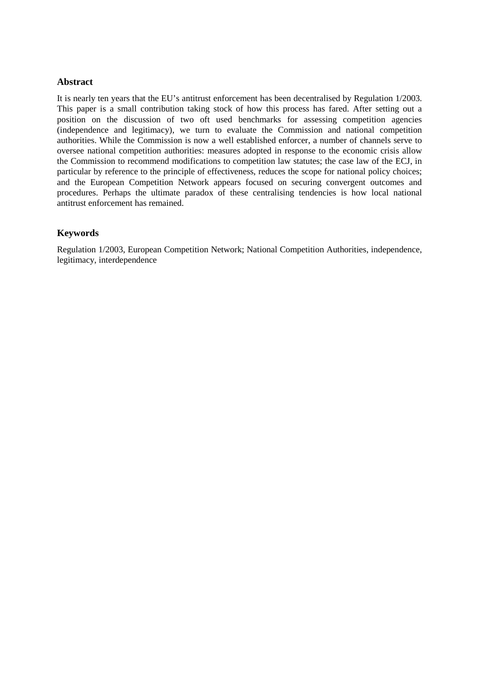### **Abstract**

It is nearly ten years that the EU's antitrust enforcement has been decentralised by Regulation 1/2003. This paper is a small contribution taking stock of how this process has fared. After setting out a position on the discussion of two oft used benchmarks for assessing competition agencies (independence and legitimacy), we turn to evaluate the Commission and national competition authorities. While the Commission is now a well established enforcer, a number of channels serve to oversee national competition authorities: measures adopted in response to the economic crisis allow the Commission to recommend modifications to competition law statutes; the case law of the ECJ, in particular by reference to the principle of effectiveness, reduces the scope for national policy choices; and the European Competition Network appears focused on securing convergent outcomes and procedures. Perhaps the ultimate paradox of these centralising tendencies is how local national antitrust enforcement has remained.

## **Keywords**

Regulation 1/2003, European Competition Network; National Competition Authorities, independence, legitimacy, interdependence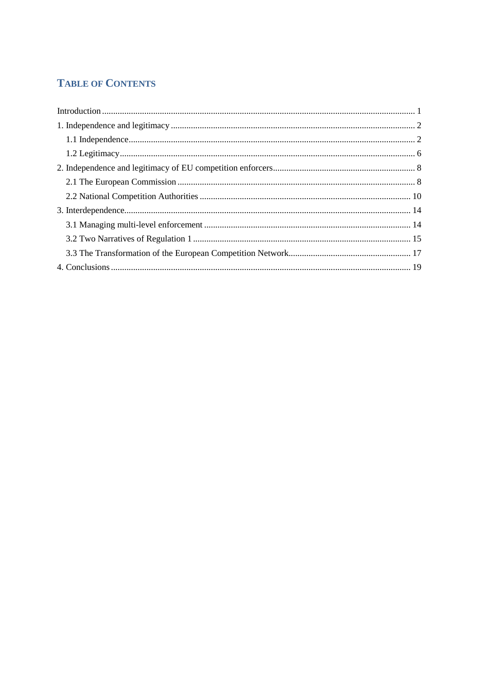# **TABLE OF CONTENTS**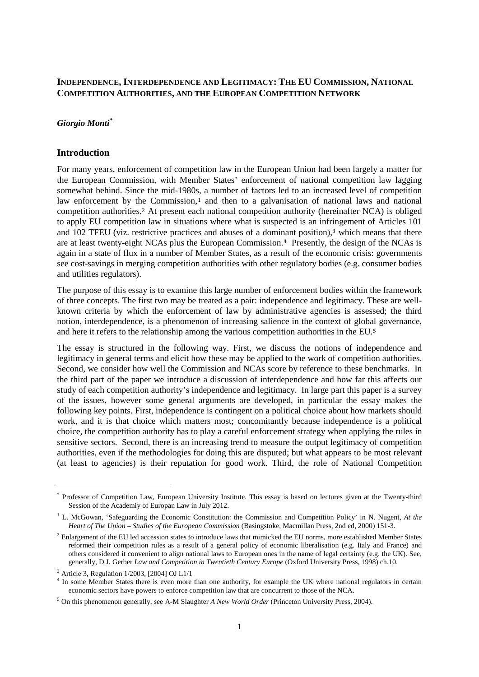## **INDEPENDENCE, INTERDEPENDENCE AND LEGITIMACY: THE EU COMMISSION, NATIONAL COMPETITION AUTHORITIES, AND THE EUROPEAN COMPETITION NETWORK**

#### <span id="page-8-0"></span>*Giorgio Monti[\\*](#page-0-0)*

### **Introduction**

For many years, enforcement of competition law in the European Union had been largely a matter for the European Commission, with Member States' enforcement of national competition law lagging somewhat behind. Since the mid-1980[s,](#page-8-1) a number of factors led to an increased level of competition law [e](#page-8-2)nforcement by the Commission, $1$  and then to a galvanisation of national laws and national competition authorities.<sup>2</sup> At present each national competition authority (hereinafter NCA) is obliged to apply EU competition law in situations where what is suspected is an infr[in](#page-8-3)gement of Articles 101 and 102 TFEU (viz. restrictive practices and abuses of a domi[na](#page-8-4)nt position),<sup>3</sup> which means that there are at least twenty-eight NCAs plus the European Commission.4 Presently, the design of the NCAs is again in a state of flux in a number of Member States, as a result of the economic crisis: governments see cost-savings in merging competition authorities with other regulatory bodies (e.g. consumer bodies and utilities regulators).

The purpose of this essay is to examine this large number of enforcement bodies within the framework of three concepts. The first two may be treated as a pair: independence and legitimacy. These are wellknown criteria by which the enforcement of law by administrative agencies is assessed; the third notion, interdependence, is a phenomenon of increasing salience in the context of glob[al](#page-8-5) governance, and here it refers to the relationship among the various competition authorities in the EU.<sup>5</sup>

The essay is structured in the following way. First, we discuss the notions of independence and legitimacy in general terms and elicit how these may be applied to the work of competition authorities. Second, we consider how well the Commission and NCAs score by reference to these benchmarks. In the third part of the paper we introduce a discussion of interdependence and how far this affects our study of each competition authority's independence and legitimacy. In large part this paper is a survey of the issues, however some general arguments are developed, in particular the essay makes the following key points. First, independence is contingent on a political choice about how markets should work, and it is that choice which matters most; concomitantly because independence is a political choice, the competition authority has to play a careful enforcement strategy when applying the rules in sensitive sectors. Second, there is an increasing trend to measure the output legitimacy of competition authorities, even if the methodologies for doing this are disputed; but what appears to be most relevant (at least to agencies) is their reputation for good work. Third, the role of National Competition

-

<sup>\*</sup> Professor of Competition Law, European University Institute. This essay is based on lectures given at the Twenty-third Session of the Academiy of Europan Law in July 2012.

<span id="page-8-1"></span><sup>1</sup> L. McGowan, 'Safeguarding the Economic Constitution: the Commission and Competition Policy' in N. Nugent, *At the Heart of The Union – Studies of the European Commission* (Basingstoke, Macmillan Press, 2nd ed, 2000) 151-3.

<span id="page-8-2"></span><sup>&</sup>lt;sup>2</sup> Enlargement of the EU led accession states to introduce laws that mimicked the EU norms, more established Member States reformed their competition rules as a result of a general policy of economic liberalisation (e.g. Italy and France) and others considered it convenient to align national laws to European ones in the name of legal certainty (e.g. the UK). See, generally, D.J. Gerber *Law and Competition in Twentieth Century Europe* (Oxford University Press, 1998) ch.10.

<span id="page-8-6"></span><sup>3</sup> Article 3, Regulation 1/2003, [2004] OJ L1/1

<span id="page-8-4"></span><span id="page-8-3"></span><sup>&</sup>lt;sup>4</sup> In some Member States there is even more than one authority, for example the UK where national regulators in certain economic sectors have powers to enforce competition law that are concurrent to those of the NCA.

<span id="page-8-5"></span><sup>5</sup> On this phenomenon generally, see A-M Slaughter *A New World Order* (Princeton University Press, 2004).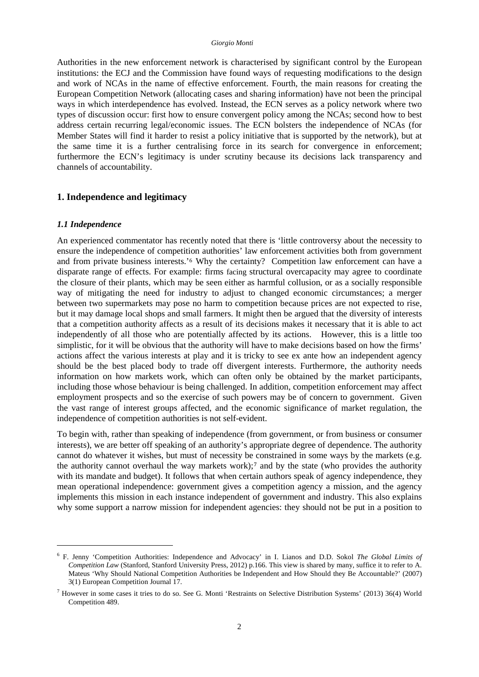#### *Giorgio Monti*

Authorities in the new enforcement network is characterised by significant control by the European institutions: the ECJ and the Commission have found ways of requesting modifications to the design and work of NCAs in the name of effective enforcement. Fourth, the main reasons for creating the European Competition Network (allocating cases and sharing information) have not been the principal ways in which interdependence has evolved. Instead, the ECN serves as a policy network where two types of discussion occur: first how to ensure convergent policy among the NCAs; second how to best address certain recurring legal/economic issues. The ECN bolsters the independence of NCAs (for Member States will find it harder to resist a policy initiative that is supported by the network), but at the same time it is a further centralising force in its search for convergence in enforcement; furthermore the ECN's legitimacy is under scrutiny because its decisions lack transparency and channels of accountability.

#### <span id="page-9-1"></span><span id="page-9-0"></span>**1. Independence and legitimacy**

#### *1.1 Independence*

An experienced commentator has recently noted that there is 'little controversy about the necessity to ensure the independence of competit[io](#page-8-6)n authorities' law enforcement activities both from government and from private business interests.'<sup>6</sup> Why the certainty? Competition law enforcement can have a disparate range of effects. For example: firms facing structural overcapacity may agree to coordinate the closure of their plants, which may be seen either as harmful collusion, or as a socially responsible way of mitigating the need for industry to adjust to changed economic circumstances; a merger between two supermarkets may pose no harm to competition because prices are not expected to rise, but it may damage local shops and small farmers. It might then be argued that the diversity of interests that a competition authority affects as a result of its decisions makes it necessary that it is able to act independently of all those who are potentially affected by its actions. However, this is a little too simplistic, for it will be obvious that the authority will have to make decisions based on how the firms' actions affect the various interests at play and it is tricky to see ex ante how an independent agency should be the best placed body to trade off divergent interests. Furthermore, the authority needs information on how markets work, which can often only be obtained by the market participants, including those whose behaviour is being challenged. In addition, competition enforcement may affect employment prospects and so the exercise of such powers may be of concern to government. Given the vast range of interest groups affected, and the economic significance of market regulation, the independence of competition authorities is not self-evident.

<span id="page-9-3"></span>To begin with, rather than speaking of independence (from government, or from business or consumer interests), we are better off speaking of an authority's appropriate degree of dependence. The authority cannot do whatever it wishes, but must of necessity be [c](#page-9-2)onstrained in some ways by the markets (e.g. the authority cannot overhaul the way markets work);<sup>7</sup> and by the state (who provides the authority with its mandate and budget). It follows that when certain authors speak of agency independence, they mean operational independence: government gives a competition agency a mission, and the agency implements this mission in each instance independent of government and industry. This also explains why some support a narrow mission for independent agencies: they should not be put in a position to

 <sup>6</sup> F. Jenny 'Competition Authorities: Independence and Advocacy' in I. Lianos and D.D. Sokol *The Global Limits of Competition Law* (Stanford, Stanford University Press, 2012) p.166. This view is shared by many, suffice it to refer to A. Mateus 'Why Should National Competition Authorities be Independent and How Should they Be Accountable?' (2007) 3(1) European Competition Journal 17.

<span id="page-9-2"></span><sup>7</sup> However in some cases it tries to do so. See G. Monti 'Restraints on Selective Distribution Systems' (2013) 36(4) World Competition 489.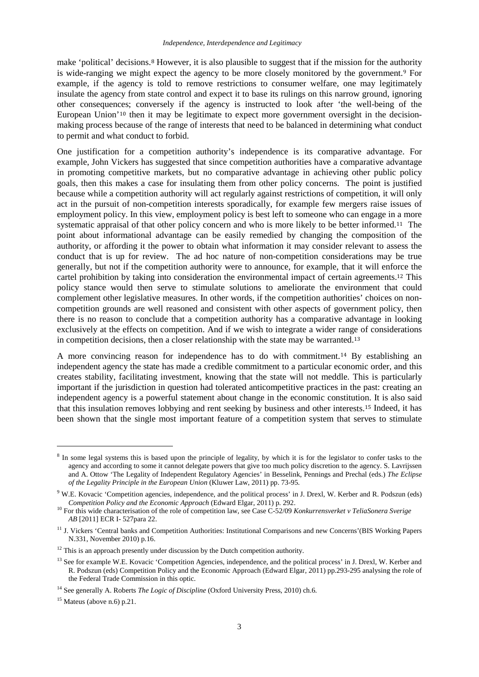make 'political' decisions.<sup>8</sup> However, it is also plausible to suggest that if the mission for the aut[ho](#page-10-0)rity is wide-ranging we might [e](#page-9-3)xpect the agency to be more closely monitored by the government.<sup>9</sup> For example, if the agency is told to remove restrictions to consumer welfare, one may legitimately insulate the agency from state control and expect it to base its rulings on this narrow ground, ignoring other consequen[ces](#page-10-1); conversely if the agency is instructed to look after 'the well-being of the European Union'<sup>10</sup> then it may be legitimate to expect more government oversight in the decisionmaking process because of the range of interests that need to be balanced in determining what conduct to permit and what conduct to forbid.

One justification for a competition authority's independence is its comparative advantage. For example, John Vickers has suggested that since competition authorities have a comparative advantage in promoting competitive markets, but no comparative advantage in achieving other public policy goals, then this makes a case for insulating them from other policy concerns. The point is justified because while a competition authority will act regularly against restrictions of competition, it will only act in the pursuit of non-competition interests sporadically, for example few mergers raise issues of employment policy. In this view, employment policy is best left to someone who can engage in [a](#page-10-2) more systematic appraisal of that other policy concern and who is more likely to be better informed.11 The point about informational advantage can be easily remedied by changing the composition of the authority, or affording it the power to obtain what information it may consider relevant to assess the conduct that is up for review. The ad hoc nature of non-competition considerations may be true generally, but not if the competition authority were to announce, for example, that it will enf[orc](#page-10-3)e the cartel prohibition by taking into consideration the environmental impact of certain agreements.<sup>12</sup> This policy stance would then serve to stimulate solutions to ameliorate the environment that could complement other legislative measures. In other words, if the competition authorities' choices on noncompetition grounds are well reasoned and consistent with other aspects of government policy, then there is no reason to conclude that a competition authority has a comparative advantage in looking exclusively at the effects on competition. And if we wish to integrate a wider ran[ge](#page-10-4) of considerations in competition decisions, then a closer relationship with the state may be warranted.<sup>13</sup>

A more convincing reason for independence has to do with commitment.<sup>14</sup> By establishing an independent agency the state has made a credible commitment to a particular e[con](#page-10-5)omic order, and this creates stability, facilitating investment, knowing that the state will not meddle. This is particularly important if the jurisdiction in question had tolerated anticompetitive practices in the past: creating an independent agency is a powerful statement about change in the economic constitutio[n.](#page-10-6) It is also said that this insulation removes lobbying and rent seeking by business and other interests.<sup>15</sup> Indeed, it has been shown that the single most important feature of a competition system that serves to stimulate

<sup>&</sup>lt;sup>8</sup> In some legal systems this is based upon the principle of legality, by which it is for the legislator to confer tasks to the agency and according to some it cannot delegate powers that give too much policy discretion to the agency. S. Lavrijssen and A. Ottow 'The Legality of Independent Regulatory Agencies' in Besselink, Pennings and Prechal (eds.) *The Eclipse of the Legality Principle in the European Union* (Kluwer Law, 2011) pp. 73-95.

<span id="page-10-7"></span><span id="page-10-0"></span><sup>9</sup> W.E. Kovacic 'Competition agencies, independence, and the political process' in J. Drexl, W. Kerber and R. Podszun (eds)

<span id="page-10-1"></span>*Competition Policy and the Economic Approach* (Edward Elgar, 2011) p. 292. <sup>10</sup> For this wide characterisation of the role of competition law, see Case C-52/09 *Konkurrensverket v TeliaSonera Sverige AB* [2011] ECR I- 527para 22.

<span id="page-10-2"></span> $11$  J. Vickers 'Central banks and Competition Authorities: Institutional Comparisons and new Concerns'(BIS Working Papers) N.331, November 2010) p.16.

<span id="page-10-3"></span> $12$  This is an approach presently under discussion by the Dutch competition authority.

<span id="page-10-4"></span><sup>&</sup>lt;sup>13</sup> See for example W.E. Kovacic 'Competition Agencies, independence, and the political process' in J. Drexl, W. Kerber and R. Podszun (eds) Competition Policy and the Economic Approach (Edward Elgar, 2011) pp.293-295 analysing the role of the Federal Trade Commission in this optic.

<span id="page-10-5"></span><sup>&</sup>lt;sup>14</sup> See generally A. Roberts *The Logic of Discipline* (Oxford University Press, 2010) ch.6.

<span id="page-10-6"></span> $15$  Mateus (above n.6) p.21.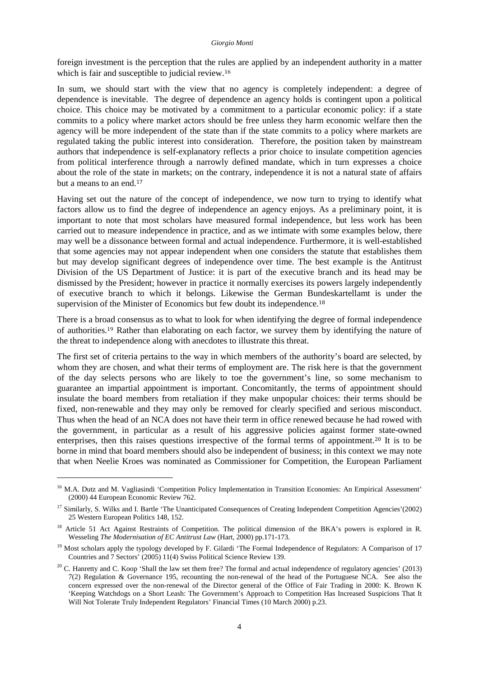foreign investment is the perception that the r[ule](#page-10-7)s are applied by an independent authority in a matter which is fair and susceptible to judicial review.<sup>16</sup>

In sum, we should start with the view that no agency is completely independent: a degree of dependence is inevitable. The degree of dependence an agency holds is contingent upon a political choice. This choice may be motivated by a commitment to a particular economic policy: if a state commits to a policy where market actors should be free unless they harm economic welfare then the agency will be more independent of the state than if the state commits to a policy where markets are regulated taking the public interest into consideration. Therefore, the position taken by mainstream authors that independence is self-explanatory reflects a prior choice to insulate competition agencies from political interference through a narrowly defined mandate, which in turn expresses a choice about the role of the s[ta](#page-11-0)te in markets; on the contrary, independence it is not a natural state of affairs but a means to an end.<sup>17</sup>

Having set out the nature of the concept of independence, we now turn to trying to identify what factors allow us to find the degree of independence an agency enjoys. As a preliminary point, it is important to note that most scholars have measured formal independence, but less work has been carried out to measure independence in practice, and as we intimate with some examples below, there may well be a dissonance between formal and actual independence. Furthermore, it is well-established that some agencies may not appear independent when one considers the statute that establishes them but may develop significant degrees of independence over time. The best example is the Antitrust Division of the US Department of Justice: it is part of the executive branch and its head may be dismissed by the President; however in practice it normally exercises its powers largely independently of executive branch to which it belongs. Likewise the German Bu[nd](#page-11-1)eskartellamt is under the supervision of the Minister of Economics but few doubt its independence.<sup>18</sup>

There is a bro[ad](#page-11-2) consensus as to what to look for when identifying the degree of formal independence of authorities.<sup>19</sup> Rather than elaborating on each factor, we survey them by identifying the nature of the threat to independence along with anecdotes to illustrate this threat.

The first set of criteria pertains to the way in which members of the authority's board are selected, by whom they are chosen, and what their terms of employment are. The risk here is that the government of the day selects persons who are likely to toe the government's line, so some mechanism to guarantee an impartial appointment is important. Concomitantly, the terms of appointment should insulate the board members from retaliation if they make unpopular choices: their terms should be fixed, non-renewable and they may only be removed for clearly specified and serious misconduct. Thus when the head of an NCA does not have their term in office renewed because he had rowed with the government, in particular as a result of his aggressive policies against former [s](#page-11-3)tate-owned enterprises, then this raises questions irrespective of the formal terms of appointment.<sup>20</sup> It is to be borne in mind that board members should also be independent of business; in this context we may note that when Neelie Kroes was nominated as Commissioner for Competition, the European Parliament

<span id="page-11-4"></span><sup>&</sup>lt;sup>16</sup> M.A. Dutz and M. Vagliasindi 'Competition Policy Implementation in Transition Economies: An Empirical Assessment' (2000) 44 European Economic Review 762.

<span id="page-11-0"></span><sup>&</sup>lt;sup>17</sup> Similarly, S. Wilks and I. Bartle 'The Unanticipated Consequences of Creating Independent Competition Agencies'(2002) 25 Western European Politics 148, 152.

<span id="page-11-1"></span><sup>&</sup>lt;sup>18</sup> Article 51 Act Against Restraints of Competition. The political dimension of the BKA's powers is explored in R. Wesseling *The Modernisation of EC Antitrust Law* (Hart, 2000) pp.171-173.

<span id="page-11-2"></span><sup>&</sup>lt;sup>19</sup> Most scholars apply the typology developed by F. Gilardi 'The Formal Independence of Regulators: A Comparison of 17 Countries and 7 Sectors' (2005) 11(4) Swiss Political Science Review 139.

<span id="page-11-3"></span> $20$  C. Hanretty and C. Koop 'Shall the law set them free? The formal and actual independence of regulatory agencies' (2013) 7(2) Regulation & Governance 195, recounting the non-renewal of the head of the Portuguese NCA. See also the concern expressed over the non-renewal of the Director general of the Office of Fair Trading in 2000: K. Brown K 'Keeping Watchdogs on a Short Leash: The Government's Approach to Competition Has Increased Suspicions That It Will Not Tolerate Truly Independent Regulators' Financial Times (10 March 2000) p.23.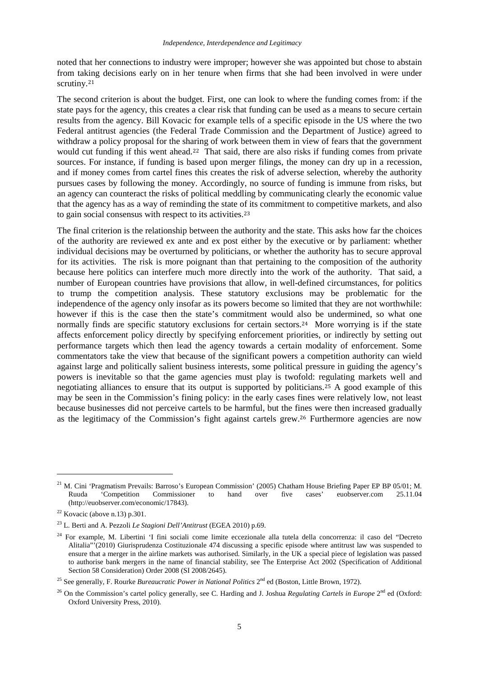noted that her connections to industry were improper; however she was appointed but chose to abstain from ta[kin](#page-11-4)g decisions early on in her tenure when firms that she had been involved in were under scrutiny.<sup>21</sup>

The second criterion is about the budget. First, one can look to where the funding comes from: if the state pays for the agency, this creates a clear risk that funding can be used as a means to secure certain results from the agency. Bill Kovacic for example tells of a specific episode in the US where the two Federal antitrust agencies (the Federal Trade Commission and the Department of Justice) agreed to withdraw a policy proposal for the sh[ari](#page-12-0)ng of work between them in view of fears that the government would cut funding if this went ahead.<sup>22</sup> That said, there are also risks if funding comes from private sources. For instance, if funding is based upon merger filings, the money can dry up in a recession, and if money comes from cartel fines this creates the risk of adverse selection, whereby the authority pursues cases by following the money. Accordingly, no source of funding is immune from risks, but an agency can counteract the risks of political meddling by communicating clearly the economic value that the agency has as a way of reminding the state [of i](#page-12-1)ts commitment to competitive markets, and also to gain social consensus with respect to its activities.<sup>23</sup>

The final criterion is the relationship between the authority and the state. This asks how far the choices of the authority are reviewed ex ante and ex post either by the executive or by parliament: whether individual decisions may be overturned by politicians, or whether the authority has to secure approval for its activities. The risk is more poignant than that pertaining to the composition of the authority because here politics can interfere much more directly into the work of the authority. That said, a number of European countries have provisions that allow, in well-defined circumstances, for politics to trump the competition analysis. These statutory exclusions may be problematic for the independence of the agency only insofar as its powers become so limited that they are not worthwhile: however if this is the case then the state's commitment would a[lso](#page-12-2) be undermined, so what one normally finds are specific statutory exclusions for certain sectors.<sup>24</sup> More worrying is if the state affects enforcement policy directly by specifying enforcement priorities, or indirectly by setting out performance targets which then lead the agency towards a certain modality of enforcement. Some commentators take the view that because of the significant powers a competition authority can wield against large and politically salient business interests, some political pressure in guiding the agency's powers is inevitable so that the game agencies must play is twofold: r[egu](#page-12-3)lating markets well and negotiating alliances to ensure that its output is supported by politicians.<sup>25</sup> A good example of this may be seen in the Commission's fining policy: in the early cases fines were relatively low, not least because businesses did not perceive cartels to be harmful, but the f[ine](#page-12-4)s were then increased gradually as the legitimacy of the Commission's fight against cartels grew.<sup>26</sup> Furthermore agencies are now

<span id="page-12-5"></span><sup>&</sup>lt;sup>21</sup> M. Cini 'Pragmatism Prevails: Barroso's European Commission' (2005) Chatham House Briefing Paper EP BP 05/01; M. Ruuda 'Competition Commissioner to hand over five cases' euobserver.com 25.11.04 [\(http://euobserver.com/economic/17843\)](http://euobserver.com/economic/17843).

<span id="page-12-0"></span> $22$  Kovacic (above n.13) p.301.

<span id="page-12-1"></span><sup>23</sup> L. Berti and A. Pezzoli *Le Stagioni Dell'Antitrust* (EGEA 2010) p.69.

<span id="page-12-2"></span><sup>24</sup> For example, M. Libertini 'I fini sociali come limite eccezionale alla tutela della concorrenza: il caso del "Decreto Alitalia"'(2010) Giurisprudenza Costituzionale 474 discussing a specific episode where antitrust law was suspended to ensure that a merger in the airline markets was authorised. Similarly, in the UK a special piece of legislation was passed to authorise bank mergers in the name of financial stability, see The Enterprise Act 2002 (Specification of Additional Section 58 Consideration) Order 2008 (SI 2008/2645).

<span id="page-12-3"></span><sup>&</sup>lt;sup>25</sup> See generally, F. Rourke *Bureaucratic Power in National Politics* 2<sup>nd</sup> ed (Boston, Little Brown, 1972).

<span id="page-12-4"></span><sup>&</sup>lt;sup>26</sup> On the Commission's cartel policy generally, see C. Harding and J. Joshua *Regulating Cartels in Europe* 2<sup>nd</sup> ed (Oxford: Oxford University Press, 2010).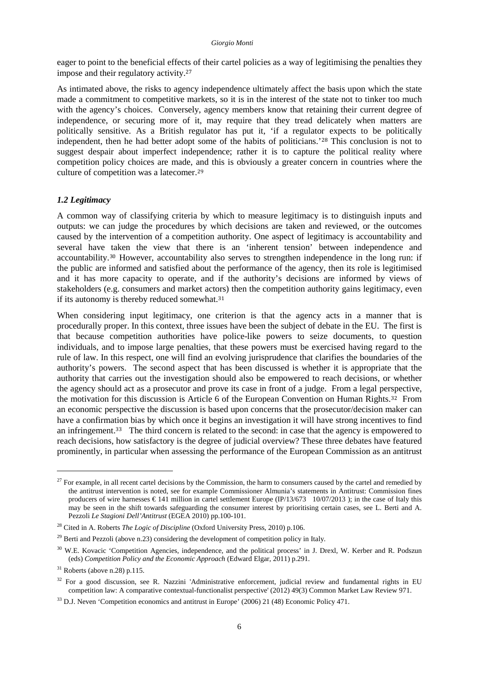eager to point to the beneficial effec[ts](#page-12-5) of their cartel policies as a way of legitimising the penalties they impose and their regulatory activity.<sup>27</sup>

As intimated above, the risks to agency independence ultimately affect the basis upon which the state made a commitment to competitive markets, so it is in the interest of the state not to tinker too much with the agency's choices. Conversely, agency members know that retaining their current degree of independence, or securing more of it, may require that they tread delicately when matters are politically sensitive. As a British regulator has put it, 'if a regulato[r](#page-13-1) expects to be politically independent, then he had better adopt some of the habits of politicians.'<sup>28</sup> This conclusion is not to suggest despair about imperfect independence; rather it is to capture the political reality where competition policy choices are made, [an](#page-13-2)d this is obviously a greater concern in countries where the culture of competition was a latecomer.<sup>29</sup>

#### <span id="page-13-0"></span>*1.2 Legitimacy*

A common way of classifying criteria by which to measure legitimacy is to distinguish inputs and outputs: we can judge the procedures by which decisions are taken and reviewed, or the outcomes caused by the intervention of a competition authority. One aspect of legitimacy is accountability and several have [ta](#page-13-3)ken the view that there is an 'inherent tension' between independence and accountability.<sup>30</sup> However, accountability also serves to strengthen independence in the long run: if the public are informed and satisfied about the performance of the agency, then its role is legitimised and it has more capacity to operate, and if the authority's decisions are informed by views of stakeholders (e.g. consumers and market act[ors](#page-13-4)) then the competition authority gains legitimacy, even if its autonomy is thereby reduced somewhat.<sup>31</sup>

When considering input legitimacy, one criterion is that the agency acts in a manner that is procedurally proper. In this context, three issues have been the subject of debate in the EU. The first is that because competition authorities have police-like powers to seize documents, to question individuals, and to impose large penalties, that these powers must be exercised having regard to the rule of law. In this respect, one will find an evolving jurisprudence that clarifies the boundaries of the authority's powers. The second aspect that has been discussed is whether it is appropriate that the authority that carries out the investigation should also be empowered to reach decisions, or whether the agency should act as a prosecutor and prove its case in front of a judge. From a legal per[sp](#page-13-5)ective, the motivation for this discussion is Article 6 of the European Convention on Human Rights.32 From an economic perspective the discussion is based upon concerns that the prosecutor/decision maker can have a confirma[tio](#page-13-6)n bias by which once it begins an investigation it will have strong incentives to find an infringement.33 The third concern is related to the second: in case that the agency is empowered to reach decisions, how satisfactory is the degree of judicial overview? These three debates have featured prominently, in particular when assessing the performance of the European Commission as an antitrust

<span id="page-13-7"></span> $27$  For example, in all recent cartel decisions by the Commission, the harm to consumers caused by the cartel and remedied by the antitrust intervention is noted, see for example Commissioner Almunia's statements in Antitrust: Commission fines producers of wire harnesses  $\in$  141 million in cartel settlement Europe (IP/13/673 10/07/2013); in the case of Italy this may be seen in the shift towards safeguarding the consumer interest by prioritising certain cases, see L. Berti and A. Pezzoli *Le Stagioni Dell'Antitrust* (EGEA 2010) pp.100-101.

<span id="page-13-1"></span><sup>28</sup> Cited in A. Roberts *The Logic of Discipline* (Oxford University Press, 2010) p.106.

<span id="page-13-2"></span><sup>&</sup>lt;sup>29</sup> Berti and Pezzoli (above n.23) considering the development of competition policy in Italy.

<span id="page-13-3"></span><sup>&</sup>lt;sup>30</sup> W.E. Kovacic 'Competition Agencies, independence, and the political process' in J. Drexl, W. Kerber and R. Podszun (eds) *Competition Policy and the Economic Approach* (Edward Elgar, 2011) p.291.

<span id="page-13-4"></span> $31$  Roberts (above n.28) p.115.

<span id="page-13-5"></span> $32$  For a good discussion, see R. Nazzini 'Administrative enforcement, judicial review and fundamental rights in EU competition law: A comparative contextual-functionalist perspective' (2012) 49(3) Common Market Law Review 971.

<span id="page-13-6"></span><sup>&</sup>lt;sup>33</sup> D.J. Neven 'Competition economics and antitrust in Europe' (2006) 21 (48) Economic Policy 471.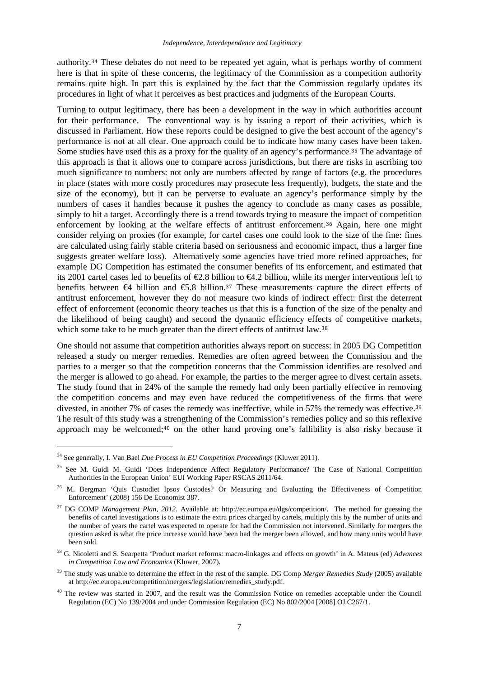authority.<sup>34</sup> These debates do not need to be repeated yet again, what is perhaps worthy of comment here is th[at](#page-13-7) in spite of these concerns, the legitimacy of the Commission as a competition authority remains quite high. In part this is explained by the fact that the Commission regularly updates its procedures in light of what it perceives as best practices and judgments of the European Courts.

Turning to output legitimacy, there has been a development in the way in which authorities account for their performance. The conventional way is by issuing a report of their activities, which is discussed in Parliament. How these reports could be designed to give the best account of the agency's performance is not at all clear. One approach could be to indicate how many cas[es](#page-14-0) have been taken. Some studies have used this as a proxy for the quality of an agency's performance.<sup>35</sup> The advantage of this approach is that it allows one to compare across jurisdictions, but there are risks in ascribing too much significance to numbers: not only are numbers affected by range of factors (e.g. the procedures in place (states with more costly procedures may prosecute less frequently), budgets, the state and the size of the economy), but it can be perverse to evaluate an agency's performance simply by the numbers of cases it handles because it pushes the agency to conclude as many cases as possible, simply to hit a target. Accordingly there is a trend towards trying to measur[e t](#page-14-1)he impact of competition enforcement by looking at the welfare effects of antitrust enforcement.<sup>36</sup> Again, here one might consider relying on proxies (for example, for cartel cases one could look to the size of the fine: fines are calculated using fairly stable criteria based on seriousness and economic impact, thus a larger fine suggests greater welfare loss). Alternatively some agencies have tried more refined approaches, for example DG Competition has estimated the consumer benefits of its enforcement, and estimated that its 2001 cartel cases led to benefits of  $\mathcal{Q}$ .8 billi[on](#page-14-2) to  $\mathcal{Q}$ .2 billion, while its merger interventions left to benefits between  $\bigoplus$  billion and  $\bigoplus$ .8 billion.<sup>37</sup> These measurements capture the direct effects of antitrust enforcement, however they do not measure two kinds of indirect effect: first the deterrent effect of enforcement (economic theory teaches us that this is a function of the size of the penalty and the likelihood of being caught) and second the dynamic efficiency eff[ects](#page-14-3) of competitive markets, which some take to be much greater than the direct effects of antitrust law.<sup>38</sup>

One should not assume that competition authorities always report on success: in 2005 DG Competition released a study on merger remedies. Remedies are often agreed between the Commission and the parties to a merger so that the competition concerns that the Commission identifies are resolved and the merger is allowed to go ahead. For example, the parties to the merger agree to divest certain assets. The study found that in 24% of the sample the remedy had only been partially effective in removing the competition concerns and may even have reduced the competitiveness of the firms that we[re](#page-14-4) divested, in another 7% of cases the remedy was ineffective, while in 57% the remedy was effective.<sup>39</sup> The result of this study was a [st](#page-14-5)rengthening of the Commission's remedies policy and so this reflexive approach may be welcomed;<sup>40</sup> on the other hand proving one's fallibility is also risky because it

<span id="page-14-6"></span> <sup>34</sup> See generally, I. Van Bael *Due Process in EU Competition Proceedings* (Kluwer 2011).

<span id="page-14-0"></span><sup>&</sup>lt;sup>35</sup> See M. Guidi M. Guidi 'Does Independence Affect Regulatory Performance? The Case of National Competition Authorities in the European Union' EUI Working Paper RSCAS 2011/64.

<span id="page-14-1"></span><sup>36</sup> M. Bergman 'Quis Custodiet Ipsos Custodes? Or Measuring and Evaluating the Effectiveness of Competition Enforcement' (2008) 156 De Economist 387.

<span id="page-14-2"></span><sup>&</sup>lt;sup>37</sup> DG COMP *Management Plan, 2012*. Available at: [http://ec.europa.eu/dgs/competition/.](http://ec.europa.eu/dgs/competition/) The method for guessing the benefits of cartel investigations is to estimate the extra prices charged by cartels, multiply this by the number of units and the number of years the cartel was expected to operate for had the Commission not intervened. Similarly for mergers the question asked is what the price increase would have been had the merger been allowed, and how many units would have been sold.

<span id="page-14-3"></span><sup>38</sup> G. Nicoletti and S. Scarpetta 'Product market reforms: macro-linkages and effects on growth' in A. Mateus (ed) *Advances in Competition Law and Economics* (Kluwer, 2007).

<span id="page-14-4"></span><sup>39</sup> The study was unable to determine the effect in the rest of the sample. DG Comp *Merger Remedies Study* (2005) available at [http://ec.europa.eu/competition/mergers/legislation/remedies\\_study.pdf.](http://ec.europa.eu/competition/mergers/legislation/remedies_study.pdf)

<span id="page-14-5"></span><sup>&</sup>lt;sup>40</sup> The review was started in 2007, and the result was the Commission Notice on remedies acceptable under the Council Regulation (EC) No 139/2004 and under Commission Regulation (EC) No 802/2004 [2008] OJ C267/1.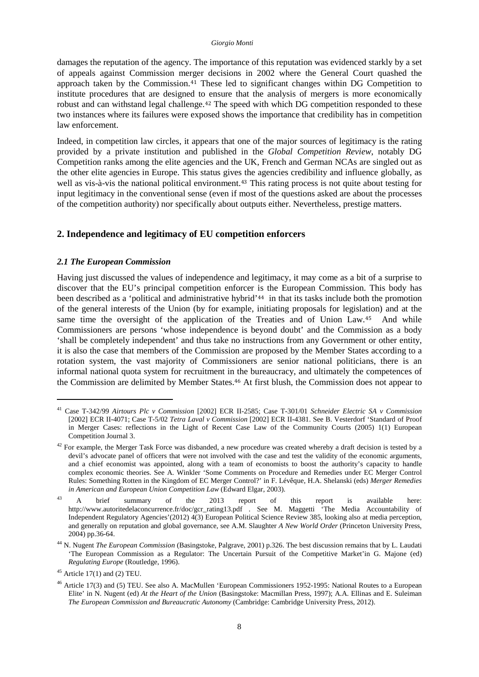damages the reputation of the agency. The importance of this reputation was evidenced starkly by a set of appeals against Commission me[rge](#page-14-6)r decisions in 2002 where the General Court quashed the approach taken by the Commission.<sup>41</sup> These led to significant changes within DG Competition to institute procedures that are designed t[o e](#page-15-2)nsure that the analysis of mergers is more economically robust and can withstand legal challenge.<sup>42</sup> The speed with which DG competition responded to these two instances where its failures were exposed shows the importance that credibility has in competition law enforcement.

Indeed, in competition law circles, it appears that one of the major sources of legitimacy is the rating provided by a private institution and published in the *Global Competition Review*, notably DG Competition ranks among the elite agencies and the UK, French and German NCAs are singled out as the other elite agencies in Europe. This status give[s th](#page-15-3)e agencies credibility and influence globally, as well as vis-à-vis the national political environment.<sup>43</sup> This rating process is not quite about testing for input legitimacy in the conventional sense (even if most of the questions asked are about the processes of the competition authority) nor specifically about outputs either. Nevertheless, prestige matters.

# <span id="page-15-1"></span><span id="page-15-0"></span>**2. Independence and legitimacy of EU competition enforcers**

#### *2.1 The European Commission*

Having just discussed the values of independence and legitimacy, it may come as a bit of a surprise to discover that the EU's principal competition enforcer [is](#page-15-4) the European Commission. This body has been described as a 'political and administrative hybrid'<sup>44</sup> in that its tasks include both the promotion of the general interests of the Union (by for example, initiating proposals for legisl[atio](#page-15-5)n) and at the same time the oversight of the application of the Treaties and of Union Law.<sup>45</sup> And while Commissioners are persons 'whose independence is beyond doubt' and the Commission as a body 'shall be completely independent' and thus take no instructions from any Government or other entity, it is also the case that members of the Commission are proposed by the Member States according to a rotation system, the vast majority of Commissioners are senior national politicians, there is an informal national quota system for recruitment in [th](#page-15-6)e bureaucracy, and ultimately the competences of the Commission are delimited by Member States.<sup>46</sup> At first blush, the Commission does not appear to

<span id="page-15-7"></span> <sup>41</sup> Case T-342/99 *Airtours Plc v Commission* [2002] ECR II-2585; Case T-301/01 *Schneider Electric SA v Commission* [2002] ECR II-4071; Case T-5/02 *Tetra Laval v Commission* [2002] ECR II-4381. See B. Vesterdorf 'Standard of Proof in Merger Cases: reflections in the Light of Recent Case Law of the Community Courts (2005) 1(1) European Competition Journal 3.

<span id="page-15-2"></span> $42$  For example, the Merger Task Force was disbanded, a new procedure was created whereby a draft decision is tested by a devil's advocate panel of officers that were not involved with the case and test the validity of the economic arguments, and a chief economist was appointed, along with a team of economists to boost the authority's capacity to handle complex economic theories. See A. Winkler 'Some Comments on Procedure and Remedies under EC Merger Control Rules: Something Rotten in the Kingdom of EC Merger Control?' in F. Lévêque, H.A. Shelanski (eds) *Merger Remedies in American and European Union Competition Law* (Edward Elgar, 2003).

<span id="page-15-3"></span><sup>43</sup> A brief summary of the 2013 report of this report is available here: [http://www.autoritedelaconcurrence.fr/doc/gcr\\_rating13.pdf](http://www.autoritedelaconcurrence.fr/doc/gcr_rating13.pdf) . See M. Maggetti 'The Media Accountability of Independent Regulatory Agencies'(2012) 4(3) European Political Science Review 385, looking also at media perception, and generally on reputation and global governance, see A.M. Slaughter *A New World Order* (Princeton University Press, 2004) pp.36-64.

<span id="page-15-4"></span><sup>44</sup> N. Nugent *The European Commission* (Basingstoke, Palgrave, 2001) p.326. The best discussion remains that by L. Laudati 'The European Commission as a Regulator: The Uncertain Pursuit of the Competitive Market'in G. Majone (ed) *Regulating Europe* (Routledge, 1996).

<span id="page-15-5"></span> $45$  Article 17(1) and (2) TEU.

<span id="page-15-6"></span><sup>46</sup> Article 17(3) and (5) TEU. See also A. MacMullen 'European Commissioners 1952-1995: National Routes to a European Elite' in N. Nugent (ed) *At the Heart of the Union* (Basingstoke: Macmillan Press, 1997); A.A. Ellinas and E. Suleiman *The European Commission and Bureaucratic Autonomy* (Cambridge: Cambridge University Press, 2012).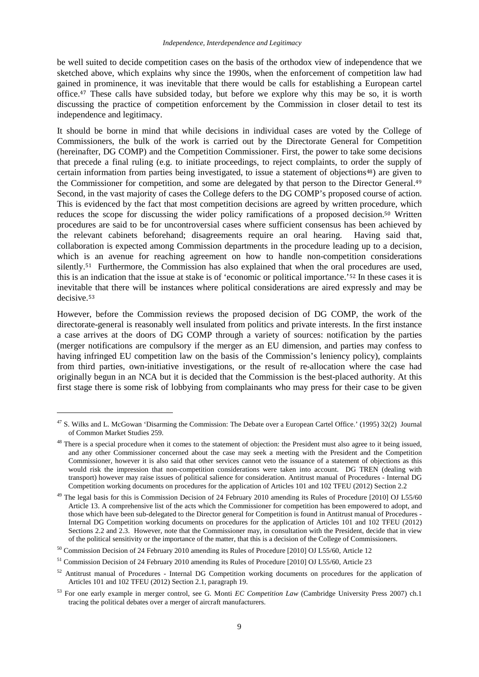be well suited to decide competition cases on the basis of the orthodox view of independence that we sketched above, which explains why since the 1990s, when the enforcement of competition law had gaine[d in](#page-15-7) prominence, it was inevitable that there would be calls for establishing a European cartel office.<sup>47</sup> These calls have subsided today, but before we explore why this may be so, it is worth discussing the practice of competition enforcement by the Commission in closer detail to test its independence and legitimacy.

It should be borne in mind that while decisions in individual cases are voted by the College of Commissioners, the bulk of the work is carried out by the Directorate General for Competition (hereinafter, DG COMP) and the Competition Commissioner. First, the power to take some decisions that precede a final ruling (e.g. to initiate proceedings, to reject complaints, to orde[r](#page-16-0) the supply of certain information from parties being investigated, to issue a statement of objections48) are given [to](#page-16-1) the Commissioner for competition, and some are delegated by that person to the Director General.<sup>49</sup> Second, in the vast majority of cases the College defers to the DG COMP's proposed course of action. This is evidenced by the fact that most competition decisions are agreed by written proced[ur](#page-16-2)e, which reduces the scope for discussing the wider policy ramifications of a proposed decision.<sup>50</sup> Written procedures are said to be for uncontroversial cases where sufficient consensus has been achieved by the relevant cabinets beforehand; disagreements require an oral hearing. Having said that, collaboration is expected among Commission departments in the procedure leading up to a decision, which [is](#page-16-3) an avenue for reaching agreement on how to handle non-competition considerations silently.51 Furthermore, the Commission has also explained that when the oral [pro](#page-16-4)cedures are used, this is an indication that the issue at stake is of 'economic or political importance.'<sup>52</sup> In these cases it is inevitabl[e](#page-16-5) that there will be instances where political considerations are aired expressly and may be decisive.<sup>53</sup>

However, before the Commission reviews the proposed decision of DG COMP, the work of the directorate-general is reasonably well insulated from politics and private interests. In the first instance a case arrives at the doors of DG COMP through a variety of sources: notification by the parties (merger notifications are compulsory if the merger as an EU dimension, and parties may confess to having infringed EU competition law on the basis of the Commission's leniency policy), complaints from third parties, own-initiative investigations, or the result of re-allocation where the case had originally begun in an NCA but it is decided that the Commission is the best-placed authority. At this first stage there is some risk of lobbying from complainants who may press for their case to be given

 <sup>47</sup> S. Wilks and L. McGowan 'Disarming the Commission: The Debate over a European Cartel Office.' (1995) 32(2) Journal of Common Market Studies 259.

<span id="page-16-0"></span> $48$  There is a special procedure when it comes to the statement of objection: the President must also agree to it being issued, and any other Commissioner concerned about the case may seek a meeting with the President and the Competition Commissioner, however it is also said that other services cannot veto the issuance of a statement of objections as this would risk the impression that non-competition considerations were taken into account. DG TREN (dealing with transport) however may raise issues of political salience for consideration. Antitrust manual of Procedures - Internal DG Competition working documents on procedures for the application of Articles 101 and 102 TFEU (2012) Section 2.2

<span id="page-16-1"></span><sup>&</sup>lt;sup>49</sup> The legal basis for this is Commission Decision of 24 February 2010 amending its Rules of Procedure [2010] OJ L55/60 Article 13. A comprehensive list of the acts which the Commissioner for competition has been empowered to adopt, and those which have been sub-delegated to the Director general for Competition is found in Antitrust manual of Procedures - Internal DG Competition working documents on procedures for the application of Articles 101 and 102 TFEU (2012) Sections 2.2 and 2.3. However, note that the Commissioner may, in consultation with the President, decide that in view of the political sensitivity or the importance of the matter, that this is a decision of the College of Commissioners.

<span id="page-16-2"></span><sup>50</sup> Commission Decision of 24 February 2010 amending its Rules of Procedure [2010] OJ L55/60, Article 12

<span id="page-16-3"></span><sup>51</sup> Commission Decision of 24 February 2010 amending its Rules of Procedure [2010] OJ L55/60, Article 23

<span id="page-16-4"></span>Antitrust manual of Procedures - Internal DG Competition working documents on procedures for the application of Articles 101 and 102 TFEU (2012) Section 2.1, paragraph 19.

<span id="page-16-5"></span><sup>53</sup> For one early example in merger control, see G. Monti *EC Competition Law* (Cambridge University Press 2007) ch.1 tracing the political debates over a merger of aircraft manufacturers.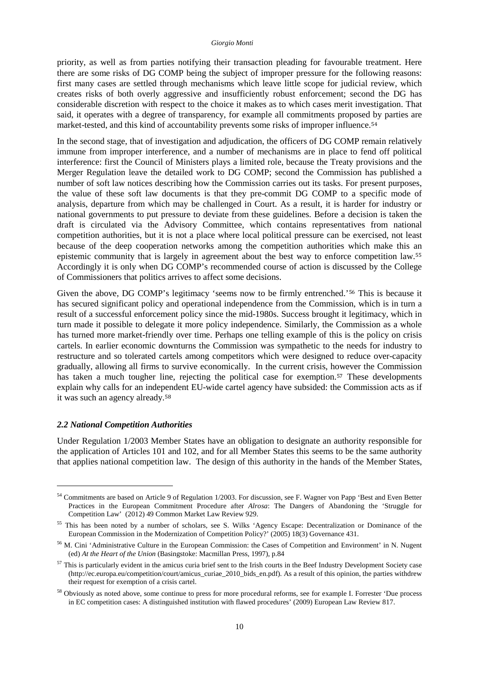priority, as well as from parties notifying their transaction pleading for favourable treatment. Here there are some risks of DG COMP being the subject of improper pressure for the following reasons: first many cases are settled through mechanisms which leave little scope for judicial review, which creates risks of both overly aggressive and insufficiently robust enforcement; second the DG has considerable discretion with respect to the choice it makes as to which cases merit investigation. That said, it operates with a degree of transparency, for example all commitments proposed [b](#page-16-1)y parties are market-tested, and this kind of accountability prevents some risks of improper influence.<sup>54</sup>

In the second stage, that of investigation and adjudication, the officers of DG COMP remain relatively immune from improper interference, and a number of mechanisms are in place to fend off political interference: first the Council of Ministers plays a limited role, because the Treaty provisions and the Merger Regulation leave the detailed work to DG COMP; second the Commission has published a number of soft law notices describing how the Commission carries out its tasks. For present purposes, the value of these soft law documents is that they pre-commit DG COMP to a specific mode of analysis, departure from which may be challenged in Court. As a result, it is harder for industry or national governments to put pressure to deviate from these guidelines. Before a decision is taken the draft is circulated via the Advisory Committee, which contains representatives from national competition authorities, but it is not a place where local political pressure can be exercised, not least because of the deep cooperation networks among the competition authorities which make this [an](#page-17-1) epistemic community that is largely in agreement about the best way to enforce competition law.<sup>55</sup> Accordingly it is only when DG COMP's recommended course of action is discussed by the College of Commissioners that politics arrives to affect some decisions.

Given the above, DG COMP's legitimacy 'seems now to be firmly entrenched.'<sup>56</sup> This is because it has secured significant policy and operational independence from the Commissi[on,](#page-17-2) which is in turn a result of a successful enforcement policy since the mid-1980s. Success brought it legitimacy, which in turn made it possible to delegate it more policy independence. Similarly, the Commission as a whole has turned more market-friendly over time. Perhaps one telling example of this is the policy on crisis cartels. In earlier economic downturns the Commission was sympathetic to the needs for industry to restructure and so tolerated cartels among competitors which were designed to reduce over-capacity gradually, allowing all firms to survive economically. In the current crisis, h[ow](#page-17-3)ever the Commission has taken a much tougher line, rejecting the political case for exemption.<sup>57</sup> These developments explain why calls for an inde[pen](#page-17-4)dent EU-wide cartel agency have subsided: the Commission acts as if it was such an agency already.<sup>58</sup>

#### <span id="page-17-0"></span>*2.2 National Competition Authorities*

<span id="page-17-5"></span>Under Regulation 1/2003 Member States have an obligation to designate an authority responsible for the application of Articles 101 and 102, and for all Member States this seems to be the same authority that applies national competition law. The design of this authority in the hands of the Member States,

 <sup>54</sup> Commitments are based on Article 9 of Regulation 1/2003. For discussion, see F. Wagner von Papp 'Best and Even Better Practices in the European Commitment Procedure after *Alrosa*: The Dangers of Abandoning the 'Struggle for Competition Law' (2012) 49 Common Market Law Review 929.

<span id="page-17-1"></span><sup>&</sup>lt;sup>55</sup> This has been noted by a number of scholars, see S. Wilks 'Agency Escape: Decentralization or Dominance of the European Commission in the Modernization of Competition Policy?' (2005) 18(3) Governance 431.

<span id="page-17-2"></span><sup>&</sup>lt;sup>56</sup> M. Cini 'Administrative Culture in the European Commission: the Cases of Competition and Environment' in N. Nugent (ed) *At the Heart of the Union* (Basingstoke: Macmillan Press, 1997), p.84

<span id="page-17-3"></span> $57$  This is particularly evident in the amicus curia brief sent to the Irish courts in the Beef Industry Development Society case [\(http://ec.europa.eu/competition/court/amicus\\_curiae\\_2010\\_bids\\_en.pdf\)](http://ec.europa.eu/competition/court/amicus_curiae_2010_bids_en.pdf). As a result of this opinion, the parties withdrew their request for exemption of a crisis cartel.

<span id="page-17-4"></span><sup>&</sup>lt;sup>58</sup> Obviously as noted above, some continue to press for more procedural reforms, see for example I. Forrester 'Due process in EC competition cases: A distinguished institution with flawed procedures' (2009) European Law Review 817.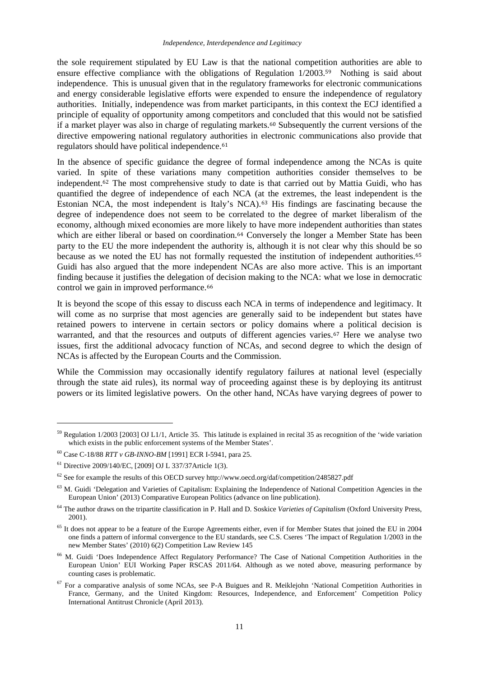the sole requirement stipulated by EU Law is that the national competi[tio](#page-17-5)n authorities are able to ensure effective compliance with the obligations of Regulation 1/2003.59 Nothing is said about independence. This is unusual given that in the regulatory frameworks for electronic communications and energy considerable legislative efforts were expended to ensure the independence of regulatory authorities. Initially, independence was from market participants, in this context the ECJ identified a principle of equality of opportunity among competitors an[d c](#page-18-0)oncluded that this would not be satisfied if a market player was also in charge of regulating markets.<sup>60</sup> Subsequently the current versions of the directive empowering national regulatory aut[ho](#page-18-1)rities in electronic communications also provide that regulators should have political independence.<sup>61</sup>

In the absence of specific guidance the degree of formal independence among the NCAs is quite varied. In [spi](#page-18-2)te of these variations many competition authorities consider themselves to be independent.<sup>62</sup> The most comprehensive study to date is that carried out by Mattia Guidi, who has quantified the degree of independence of each NCA ([at](#page-18-3) the extremes, the least independent is the Estonian NCA, the most independent is Italy's NCA).<sup>63</sup> His findings are fascinating because the degree of independence does not seem to be correlated to the degree of market liberalism of the economy, although mixed economies are more lik[ely](#page-18-4) to have more independent authorities than states which are either liberal or based on coordination.<sup>64</sup> Conversely the longer a Member State has been party to the EU the more independent the authority is, although it is not clear why this should be [so](#page-18-5) because as we noted the EU has not formally requested the institution of independent authorities.<sup>65</sup> Guidi has also argued that the more independent NCAs are also more active. This is an important finding because it justifies the delegation [of](#page-18-6) decision making to the NCA: what we lose in democratic control we gain in improved performance.<sup>66</sup>

It is beyond the scope of this essay to discuss each NCA in terms of independence and legitimacy. It will come as no surprise that most agencies are generally said to be independent but states have retained powers to intervene in certain sectors or policy domains wher[e](#page-18-7) a political decision is warranted, and that the resources and outputs of different agencies varies.<sup>67</sup> Here we analyse two issues, first the additional advocacy function of NCAs, and second degree to which the design of NCAs is affected by the European Courts and the Commission.

While the Commission may occasionally identify regulatory failures at national level (especially through the state aid rules), its normal way of proceeding against these is by deploying its antitrust powers or its limited legislative powers. On the other hand, NCAs have varying degrees of power to

 $59$  Regulation 1/2003 [2003] OJ L1/1, Article 35. This latitude is explained in recital 35 as recognition of the 'wide variation which exists in the public enforcement systems of the Member States'.

<span id="page-18-0"></span><sup>60</sup> Case C-18/88 *RTT v GB-INNO-BM* [1991] ECR I-5941, para 25.

<span id="page-18-1"></span><sup>61</sup> Directive 2009/140/EC, [2009] OJ L 337/37Article 1(3).

<span id="page-18-2"></span><sup>&</sup>lt;sup>62</sup> See for example the results of this OECD survey<http://www.oecd.org/daf/competition/2485827.pdf>

<span id="page-18-3"></span> $<sup>63</sup>$  M. Guidi 'Delegation and Varieties of Capitalism: Explaining the Independence of National Competition Agencies in the</sup> European Union' (2013) Comparative European Politics (advance on line publication).

<span id="page-18-8"></span><span id="page-18-4"></span><sup>64</sup> The author draws on the tripartite classification in P. Hall and D. Soskice *Varieties of Capitalism* (Oxford University Press, 2001).

<span id="page-18-5"></span> $<sup>65</sup>$  It does not appear to be a feature of the Europe Agreements either, even if for Member States that joined the EU in 2004</sup> one finds a pattern of informal convergence to the EU standards, see C.S. Cseres 'The impact of Regulation 1/2003 in the new Member States' (2010) 6(2) Competition Law Review 145

<span id="page-18-6"></span><sup>66</sup> M. Guidi 'Does Independence Affect Regulatory Performance? The Case of National Competition Authorities in the European Union' EUI Working Paper RSCAS 2011/64. Although as we noted above, measuring performance by counting cases is problematic.

<span id="page-18-7"></span> $67$  For a comparative analysis of some NCAs, see P-A Buigues and R. Meiklejohn 'National Competition Authorities in France, Germany, and the United Kingdom: Resources, Independence, and Enforcement' Competition Policy International Antitrust Chronicle (April 2013).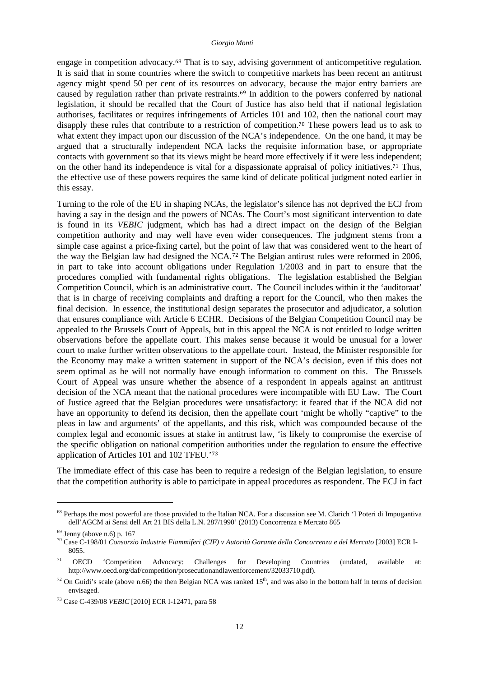#### *Giorgio Monti*

engage in competition advocacy.<sup>68</sup> That is to say, advising government of anticompetitive regulation. It is said that in some countries [wh](#page-18-8)ere the switch to competitive markets has been recent an antitrust agency might spend 50 per cent of its resources [on](#page-19-0) advocacy, because the major entry barriers are caused by regulation rather than private restraints.<sup>69</sup> In addition to the powers conferred by national legislation, it should be recalled that the Court of Justice has also held that if national legislation authorises, facilitates or requires infringements of Articles 101 an[d 1](#page-19-1)02, then the national court may disapply these rules that contribute to a restriction of competition.<sup>70</sup> These powers lead us to ask to what extent they impact upon our discussion of the NCA's independence. On the one hand, it may be argued that a structurally independent NCA lacks the requisite information base, or appropriate contacts with government so that its views might be heard more effectively if it were less inde[pe](#page-19-2)ndent; on the other hand its independence is vital for a dispassionate appraisal of policy initiatives.<sup>71</sup> Thus, the effective use of these powers requires the same kind of delicate political judgment noted earlier in this essay.

Turning to the role of the EU in shaping NCAs, the legislator's silence has not deprived the ECJ from having a say in the design and the powers of NCAs. The Court's most significant intervention to date is found in its *VEBIC* judgment, which has had a direct impact on the design of the Belgian competition authority and may well have even wider consequences. The judgment stems from a simple case against a price-fixing cartel, but the [po](#page-19-3)int of law that was considered went to the heart of the way the Belgian law had designed the NCA.<sup>72</sup> The Belgian antirust rules were reformed in 2006, in part to take into account obligations under Regulation 1/2003 and in part to ensure that the procedures complied with fundamental rights obligations. The legislation established the Belgian Competition Council, which is an administrative court. The Council includes within it the 'auditoraat' that is in charge of receiving complaints and drafting a report for the Council, who then makes the final decision. In essence, the institutional design separates the prosecutor and adjudicator, a solution that ensures compliance with Article 6 ECHR. Decisions of the Belgian Competition Council may be appealed to the Brussels Court of Appeals, but in this appeal the NCA is not entitled to lodge written observations before the appellate court. This makes sense because it would be unusual for a lower court to make further written observations to the appellate court. Instead, the Minister responsible for the Economy may make a written statement in support of the NCA's decision, even if this does not seem optimal as he will not normally have enough information to comment on this. The Brussels Court of Appeal was unsure whether the absence of a respondent in appeals against an antitrust decision of the NCA meant that the national procedures were incompatible with EU Law. The Court of Justice agreed that the Belgian procedures were unsatisfactory: it feared that if the NCA did not have an opportunity to defend its decision, then the appellate court 'might be wholly "captive" to the pleas in law and arguments' of the appellants, and this risk, which was compounded because of the complex legal and economic issues at stake in antitrust law, 'is likely to compromise the exercise of the specific obligation on national competi[tio](#page-19-4)n authorities under the regulation to ensure the effective application of Articles 101 and 102 TFEU.'<sup>73</sup>

<span id="page-19-5"></span>The immediate effect of this case has been to require a redesign of the Belgian legislation, to ensure that the competition authority is able to participate in appeal procedures as respondent. The ECJ in fact

<sup>&</sup>lt;sup>68</sup> Perhaps the most powerful are those provided to the Italian NCA. For a discussion see M. Clarich 'I Poteri di Impugantiva dell'AGCM ai Sensi dell Art 21 BIS della L.N. 287/1990' (2013) Concorrenza e Mercato 865

<span id="page-19-1"></span><span id="page-19-0"></span><sup>&</sup>lt;sup>69</sup> Jenny (above n.6) p. 167<br><sup>70</sup> Case C-198/01 *Consorzio Industrie Fiammiferi (CIF) v Autorità Garante della Concorrenza e del Mercato* [2003] ECR I-8055.

<span id="page-19-2"></span><sup>&</sup>lt;sup>71</sup> OECD 'Competition Advocacy: Challenges for Developing Countries (undated, available at: [http://www.oecd.org/daf/competition/prosecutionandlawenforcement/32033710.pdf\)](http://www.oecd.org/daf/competition/prosecutionandlawenforcement/32033710.pdf).

<span id="page-19-3"></span><sup>&</sup>lt;sup>72</sup> On Guidi's scale (above n.66) the then Belgian NCA was ranked  $15<sup>th</sup>$ , and was also in the bottom half in terms of decision envisaged.

<span id="page-19-4"></span><sup>73</sup> Case C-439/08 *VEBIC* [2010] ECR I-12471, para 58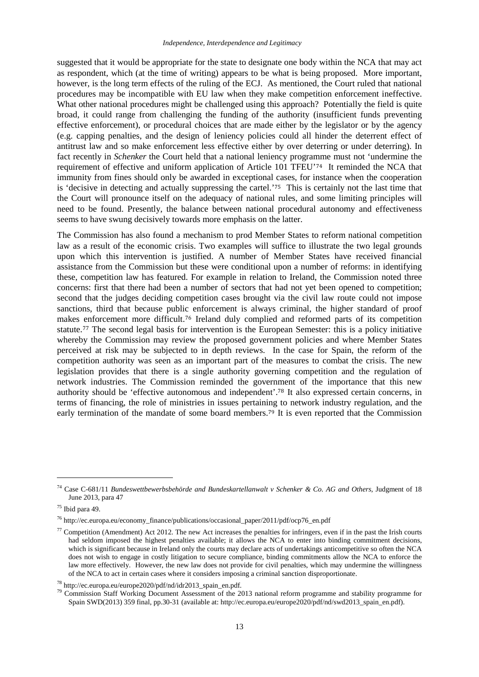suggested that it would be appropriate for the state to designate one body within the NCA that may act as respondent, which (at the time of writing) appears to be what is being proposed. More important, however, is the long term effects of the ruling of the ECJ. As mentioned, the Court ruled that national procedures may be incompatible with EU law when they make competition enforcement ineffective. What other national procedures might be challenged using this approach? Potentially the field is quite broad, it could range from challenging the funding of the authority (insufficient funds preventing effective enforcement), or procedural choices that are made either by the legislator or by the agency (e.g. capping penalties, and the design of leniency policies could all hinder the deterrent effect of antitrust law and so make enforcement less effective either by over deterring or under deterring). In fact recently in *Schenker* the Court held that a national leniency progra[mm](#page-19-5)e must not 'undermine the requirement of effective and uniform application of Article 101 TFEU'74 It reminded the NCA that immunity from fines should only be awarded in exceptional [ca](#page-20-0)ses, for instance when the cooperation is 'decisive in detecting and actually suppressing the cartel.'75 This is certainly not the last time that the Court will pronounce itself on the adequacy of national rules, and some limiting principles will need to be found. Presently, the balance between national procedural autonomy and effectiveness seems to have swung decisively towards more emphasis on the latter.

The Commission has also found a mechanism to prod Member States to reform national competition law as a result of the economic crisis. Two examples will suffice to illustrate the two legal grounds upon which this intervention is justified. A number of Member States have received financial assistance from the Commission but these were conditional upon a number of reforms: in identifying these, competition law has featured. For example in relation to Ireland, the Commission noted three concerns: first that there had been a number of sectors that had not yet been opened to competition; second that the judges deciding competition cases brought via the civil law route could not impose sanctions, third that because publi[c](#page-20-1) enforcement is always criminal, the higher standard of proof makes [en](#page-20-2)forcement more difficult.<sup>76</sup> Ireland duly complied and reformed parts of its competition statute.<sup>77</sup> The second legal basis for intervention is the European Semester: this is a policy initiative whereby the Commission may review the proposed government policies and where Member States perceived at risk may be subjected to in depth reviews. In the case for Spain, the reform of the competition authority was seen as an important part of the measures to combat the crisis. The new legislation provides that there is a single authority governing competition and the regulation of network industries. The Commission reminded the govern[m](#page-20-3)ent of the importance that this new authority should be 'effective autonomous and independent'.<sup>78</sup> It also expressed certain concerns, in terms of financing, the role of ministries in issues pertaini[ng](#page-20-4) to network industry regulation, and the early termination of the mandate of some board members.<sup>79</sup> It is even reported that the Commission

<span id="page-20-5"></span> <sup>74</sup> Case C-681/11 *Bundeswettbewerbsbehörde and Bundeskartellanwalt v Schenker & Co. AG and Others,* Judgment of 18 June 2013, para 47

<span id="page-20-0"></span> $75$  Ibid para 49.

<span id="page-20-1"></span><sup>76</sup> [http://ec.europa.eu/economy\\_finance/publications/occasional\\_paper/2011/pdf/ocp76\\_en.pdf](http://ec.europa.eu/economy_finance/publications/occasional_paper/2011/pdf/ocp76_en.pdf)

<span id="page-20-2"></span> $77$  Competition (Amendment) Act 2012. The new Act increases the penalties for infringers, even if in the past the Irish courts had seldom imposed the highest penalties available; it allows the NCA to enter into binding commitment decisions, which is significant because in Ireland only the courts may declare acts of undertakings anticompetitive so often the NCA does not wish to engage in costly litigation to secure compliance, binding commitments allow the NCA to enforce the law more effectively. However, the new law does not provide for civil penalties, which may undermine the willingness of the NCA to act in certain cases where it considers imposing a criminal sanction disproportionate.

<span id="page-20-4"></span><span id="page-20-3"></span><sup>&</sup>lt;sup>78</sup> http://ec.europa.eu/europe2020/pdf/nd/idr2013\_spain\_en.pdf.<br><sup>79</sup> Commission Staff Working Document Assessment of the 2013 national reform programme and stability programme for Spain SWD(2013) 359 final, pp.30-31 (available at: [http://ec.europa.eu/europe2020/pdf/nd/swd2013\\_spain\\_en.pdf\)](http://ec.europa.eu/europe2020/pdf/nd/swd2013_spain_en.pdf).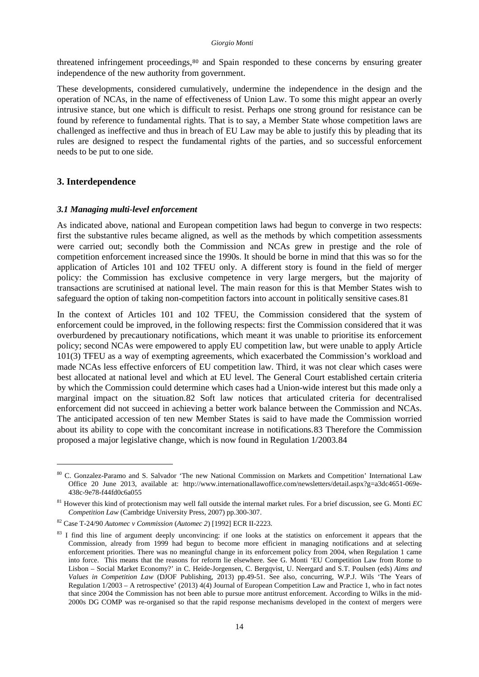threatened infringement proceedings,<sup>80</sup> and Spain responded to these concerns by ensuring greater independence of the new authority fro[m](#page-20-5) government.

These developments, considered cumulatively, undermine the independence in the design and the operation of NCAs, in the name of effectiveness of Union Law. To some this might appear an overly intrusive stance, but one which is difficult to resist. Perhaps one strong ground for resistance can be found by reference to fundamental rights. That is to say, a Member State whose competition laws are challenged as ineffective and thus in breach of EU Law may be able to justify this by pleading that its rules are designed to respect the fundamental rights of the parties, and so successful enforcement needs to be put to one side.

#### <span id="page-21-1"></span><span id="page-21-0"></span>**3. Interdependence**

#### *3.1 Managing multi-level enforcement*

As indicated above, national and European competition laws had begun to converge in two respects: first the substantive rules became aligned, as well as the methods by which competition assessments were carried out; secondly both the Commission and NCAs grew in prestige and the role of competition enforcement increased since the 1990s. It should be borne in mind that this was so for the application of Articles 101 and 102 TFEU only. A different story is found in the field of merger policy: the Commission has exclusive competence in very large mergers, but the majority of transactions are scrutinised at national level. The main reason for this is that Member States wish to safeguard the option of taking non-competition factors into account in politically sensitive cases.[81](#page-21-2)

In the context of Articles 101 and 102 TFEU, the Commission considered that the system of enforcement could be improved, in the following respects: first the Commission considered that it was overburdened by precautionary notifications, which meant it was unable to prioritise its enforcement policy; second NCAs were empowered to apply EU competition law, but were unable to apply Article 101(3) TFEU as a way of exempting agreements, which exacerbated the Commission's workload and made NCAs less effective enforcers of EU competition law. Third, it was not clear which cases were best allocated at national level and which at EU level. The General Court established certain criteria by which the Commission could determine which cases had a Union-wide interest but this made only a marginal impact on the situation[.82](#page-21-3) Soft law notices that articulated criteria for decentralised enforcement did not succeed in achieving a better work balance between the Commission and NCAs. The anticipated accession of ten new Member States is said to have made the Commission worried about its ability to cope with the concomitant increase in notifications.[83](#page-21-4) Therefore the Commission proposed a major legislative change, which is now found in Regulation 1/2003.[84](#page-21-5)

<span id="page-21-5"></span> <sup>80</sup> C. Gonzalez-Paramo and S. Salvador 'The new National Commission on Markets and Competition' International Law Office 20 June 2013, available at: [http://www.internationallawoffice.com/newsletters/detail.aspx?g=a3dc4651-069e-](http://www.internationallawoffice.com/newsletters/detail.aspx?g=a3dc4651-069e-438c-9e78-f44fd0c6a055)[438c-9e78-f44fd0c6a055](http://www.internationallawoffice.com/newsletters/detail.aspx?g=a3dc4651-069e-438c-9e78-f44fd0c6a055)

<span id="page-21-6"></span><span id="page-21-2"></span><sup>81</sup> However this kind of protectionism may well fall outside the internal market rules. For a brief discussion, see G. Monti *EC Competition Law* (Cambridge University Press, 2007) pp.300-307.

<span id="page-21-3"></span><sup>82</sup> Case T-24/90 *Automec v Commission* (*Automec 2*) [1992] ECR II-2223.

<span id="page-21-4"></span><sup>&</sup>lt;sup>83</sup> I find this line of argument deeply unconvincing: if one looks at the statistics on enforcement it appears that the Commission, already from 1999 had begun to become more efficient in managing notifications and at selecting enforcement priorities. There was no meaningful change in its enforcement policy from 2004, when Regulation 1 came into force. This means that the reasons for reform lie elsewhere. See G. Monti 'EU Competition Law from Rome to Lisbon – Social Market Economy?' in C. Heide-Jorgensen, C. Bergqvist, U. Neergard and S.T. Poulsen (eds) *Aims and Values in Competition Law* (DJOF Publishing, 2013) pp.49-51. See also, concurring, W.P.J. Wils 'The Years of Regulation 1/2003 – A retrospective' (2013) 4(4) Journal of European Competition Law and Practice 1, who in fact notes that since 2004 the Commission has not been able to pursue more antitrust enforcement. According to Wilks in the mid-2000s DG COMP was re-organised so that the rapid response mechanisms developed in the context of mergers were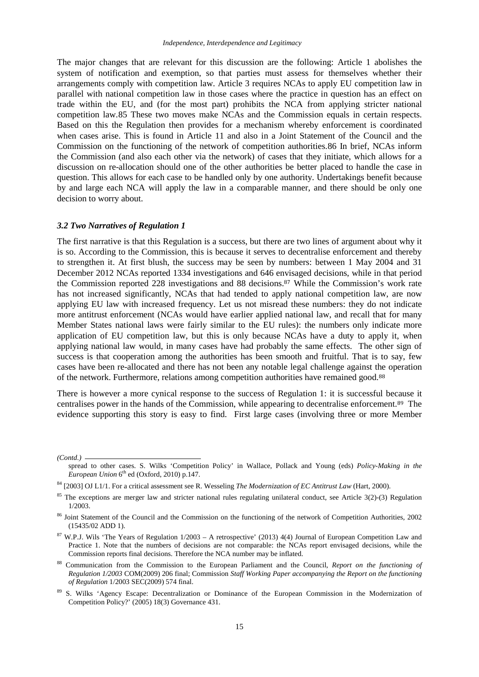The major changes that are relevant for this discussion are the following: Article 1 abolishes the system of notification and exemption, so that parties must assess for themselves whether their arrangements comply with competition law. Article 3 requires NCAs to apply EU competition law in parallel with national competition law in those cases where the practice in question has an effect on trade within the EU, and (for the most part) prohibits the NCA from applying stricter national competition law.[85](#page-21-6) These two moves make NCAs and the Commission equals in certain respects. Based on this the Regulation then provides for a mechanism whereby enforcement is coordinated when cases arise. This is found in Article 11 and also in a Joint Statement of the Council and the Commission on the functioning of the network of competition authorities[.86](#page-22-1) In brief, NCAs inform the Commission (and also each other via the network) of cases that they initiate, which allows for a discussion on re-allocation should one of the other authorities be better placed to handle the case in question. This allows for each case to be handled only by one authority. Undertakings benefit because by and large each NCA will apply the law in a comparable manner, and there should be only one decision to worry about.

#### <span id="page-22-0"></span>*3.2 Two Narratives of Regulation 1*

The first narrative is that this Regulation is a success, but there are two lines of argument about why it is so. According to the Commission, this is because it serves to decentralise enforcement and thereby to strengthen it. At first blush, the success may be seen by numbers: between 1 May 2004 and 31 December 2012 NCAs reported 1334 investigations and 646 en[vi](#page-22-2)saged decisions, while in that period the Commission reported 228 investigations and 88 decisions.<sup>87</sup> While the Commission's work rate has not increased significantly, NCAs that had tended to apply national competition law, are now applying EU law with increased frequency. Let us not misread these numbers: they do not indicate more antitrust enforcement (NCAs would have earlier applied national law, and recall that for many Member States national laws were fairly similar to the EU rules): the numbers only indicate more application of EU competition law, but this is only because NCAs have a duty to apply it, when applying national law would, in many cases have had probably the same effects. The other sign of success is that cooperation among the authorities has been smooth and fruitful. That is to say, few cases have been re-allocated and there has not been any notable legal challenge against t[he](#page-22-3) operation of the network. Furthermore, relations among competition authorities have remained good.<sup>88</sup>

There is however a more cynical response to the success of Regulation 1: it is successful be[cau](#page-22-4)se it centralises power in the hands of the Commission, while appearing to decentralise enforcement.89 The evidence supporting this story is easy to find. First large cases (involving three or more Member

<span id="page-22-5"></span>*(Contd.)* 

spread to other cases. S. Wilks 'Competition Policy' in Wallace, Pollack and Young (eds) *Policy-Making in the European Union* 6<sup>th</sup> ed (Oxford, 2010) p.147.

<sup>84</sup> [2003] OJ L1/1. For a critical assessment see R. Wesseling *The Modernization of EC Antitrust Law* (Hart, 2000).

 $85$  The exceptions are merger law and stricter national rules regulating unilateral conduct, see Article 3(2)-(3) Regulation 1/2003.

<span id="page-22-1"></span><sup>&</sup>lt;sup>86</sup> Joint Statement of the Council and the Commission on the functioning of the network of Competition Authorities, 2002 (15435/02 ADD 1).

<span id="page-22-2"></span> $87$  W.P.J. Wils 'The Years of Regulation  $1/2003 - A$  retrospective' (2013) 4(4) Journal of European Competition Law and Practice 1. Note that the numbers of decisions are not comparable: the NCAs report envisaged decisions, while the Commission reports final decisions. Therefore the NCA number may be inflated.

<span id="page-22-3"></span><sup>88</sup> Communication from the Commission to the European Parliament and the Council, *Report on the functioning of Regulation 1/2003* COM(2009) 206 final; Commission *Staff Working Paper accompanying the Report on the functioning of Regulation* 1/2003 SEC(2009) 574 final.

<span id="page-22-4"></span><sup>89</sup> S. Wilks 'Agency Escape: Decentralization or Dominance of the European Commission in the Modernization of Competition Policy?' (2005) 18(3) Governance 431.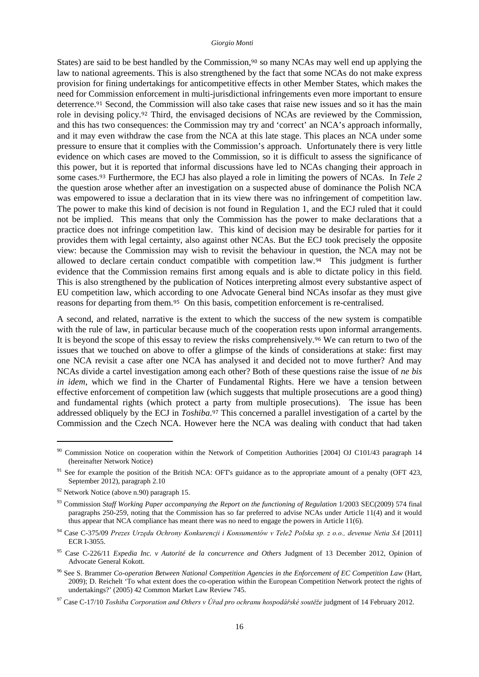States) are said to be best handled by the Commission,<sup>90</sup> so many NCAs may well end up applying the law to national agreements. This is also strengthened [by](#page-22-5) the fact that some NCAs do not make express provision for fining undertakings for anticompetitive effects in other Member States, which makes the need for C[om](#page-23-0)mission enforcement in multi-jurisdictional infringements even more important to ensure deterrence.<sup>91</sup> Second, the Commission will also take cases that raise new issues and so it has the main role in devising policy.<sup>92</sup> Third, the envisaged decisions of NCAs are reviewed by the Commission, and this has two conse[que](#page-23-1)nces: the Commission may try and 'correct' an NCA's approach informally, and it may even withdraw the case from the NCA at this late stage. This places an NCA under some pressure to ensure that it complies with the Commission's approach. Unfortunately there is very little evidence on which cases are moved to the Commission, so it is difficult to assess the significance of this power, [bu](#page-23-2)t it is reported that informal discussions have led to NCAs changing their approach in some cases.<sup>93</sup> Furthermore, the ECJ has also played a role in limiting the powers of NCAs. In *Tele 2* the question arose whether after an investigation on a suspected abuse of dominance the Polish NCA was empowered to issue a declaration that in its view there was no infringement of competition law. The power to make this kind of decision is not found in Regulation 1, and the ECJ ruled that it could not be implied. This means that only the Commission has the power to make declarations that a practice does not infringe competition law. This kind of decision may be desirable for parties for it provides them with legal certainty, also against other NCAs. But the ECJ took precisely the opposite view: because the Commission may wish to revisit the behaviour in q[ue](#page-23-3)stion, the NCA may not be allowed to declare certain conduct compatible with competition law.94 This judgment is further evidence that the Commission remains first among equals and is able to dictate policy in this field. This is also strengthened by the publication of Notices interpreting almost every substantive aspect of EU competition law, which acc[ord](#page-23-4)ing to one Advocate General bind NCAs insofar as they must give reasons for departing from them.95 On this basis, competition enforcement is re-centralised.

A second, and related, narrative is the extent to which the success of the new system is compatible with the rule of law, in particular because much of the cooperation rest[s u](#page-23-5)pon informal arrangements. It is beyond the scope of this essay to review the risks comprehensively.<sup>96</sup> We can return to two of the issues that we touched on above to offer a glimpse of the kinds of considerations at stake: first may one NCA revisit a case after one NCA has analysed it and decided not to move further? And may NCAs divide a cartel investigation among each other? Both of these questions raise the issue of *ne bis in idem*, which we find in the Charter of Fundamental Rights. Here we have a tension between effective enforcement of competition law (which suggests that multiple prosecutions are a good thing) and fundamental rights (which protect a [pa](#page-23-6)rty from multiple prosecutions). The issue has been addressed obliquely by the ECJ in *Toshiba*.<sup>97</sup> This concerned a parallel investigation of a cartel by the Commission and the Czech NCA. However here the NCA was dealing with conduct that had taken

<sup>&</sup>lt;sup>90</sup> Commission Notice on cooperation within the Network of Competition Authorities [2004] OJ C101/43 paragraph 14 (hereinafter Network Notice)

<span id="page-23-0"></span> $91$  See for example the position of the British NCA: OFT's guidance as to the appropriate amount of a penalty (OFT 423, September 2012), paragraph 2.10

<span id="page-23-1"></span> $92$  Network Notice (above n.90) paragraph 15.

<span id="page-23-2"></span><sup>93</sup> Commission *Staff Working Paper accompanying the Report on the functioning of Regulation* 1/2003 SEC(2009) 574 final paragraphs 250-259, noting that the Commission has so far preferred to advise NCAs under Article 11(4) and it would thus appear that NCA compliance has meant there was no need to engage the powers in Article 11(6).

<span id="page-23-7"></span><span id="page-23-3"></span><sup>94</sup> Case C-375/09 *Prezes Urzędu Ochrony Konkurencji i Konsumentów v Tele2 Polska sp. z o.o., devenue Netia SA* [2011] ECR I-3055.

<span id="page-23-4"></span><sup>95</sup> Case C-226/11 *Expedia Inc. v Autorité de la concurrence and Others* Judgment of 13 December 2012, Opinion of Advocate General Kokott.

<span id="page-23-5"></span><sup>96</sup> See S. Brammer *Co-operation Between National Competition Agencies in the Enforcement of EC Competition Law* (Hart, 2009); D. Reichelt 'To what extent does the co-operation within the European Competition Network protect the rights of undertakings?' (2005) 42 Common Market Law Review 745.

<span id="page-23-6"></span><sup>97</sup> Case C-17/10 *Toshiba Corporation and Others v Úřad pro ochranu hospodářské soutěže* judgment of 14 February 2012.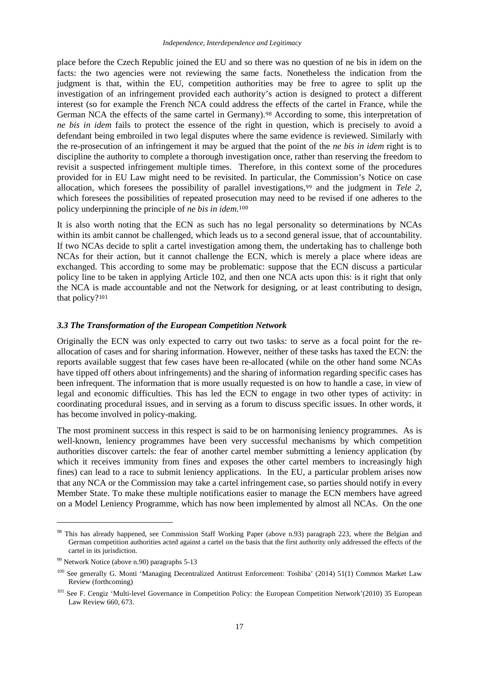place before the Czech Republic joined the EU and so there was no question of ne bis in idem on the facts: the two agencies were not reviewing the same facts. Nonetheless the indication from the judgment is that, within the EU, competition authorities may be free to agree to split up the investigation of an infringement provided each authority's action is designed to protect a different interest (so for example the French NCA could address t[he](#page-23-7) effects of the cartel in France, while the German NCA the effects of the same cartel in Germany).<sup>98</sup> According to some, this interpretation of *ne bis in idem* fails to protect the essence of the right in question, which is precisely to avoid a defendant being embroiled in two legal disputes where the same evidence is reviewed. Similarly with the re-prosecution of an infringement it may be argued that the point of the *ne bis in idem* right is to discipline the authority to complete a thorough investigation once, rather than reserving the freedom to revisit a suspected infringement multiple times. Therefore, in this context some of the procedures provided for in EU Law might need to be revisited. In particular, t[he](#page-24-1) Commission's Notice on case allocation, which foresees the possibility of parallel investigations,<sup>99</sup> and the judgment in *Tele 2*, which foresees the possibilities of repeated prose[cutio](#page-24-2)n may need to be revised if one adheres to the policy underpinning the principle of *ne bis in idem*.<sup>100</sup>

It is also worth noting that the ECN as such has no legal personality so determinations by NCAs within its ambit cannot be challenged, which leads us to a second general issue, that of accountability. If two NCAs decide to split a cartel investigation among them, the undertaking has to challenge both NCAs for their action, but it cannot challenge the ECN, which is merely a place where ideas are exchanged. This according to some may be problematic: suppose that the ECN discuss a particular policy line to be taken in applying Article 102, and then one NCA acts upon this: is it right that only the NCA is [m](#page-24-3)ade accountable and not the Network for designing, or at least contributing to design, that policy?<sup>101</sup>

#### <span id="page-24-0"></span>*3.3 The Transformation of the European Competition Network*

Originally the ECN was only expected to carry out two tasks: to serve as a focal point for the reallocation of cases and for sharing information. However, neither of these tasks has taxed the ECN: the reports available suggest that few cases have been re-allocated (while on the other hand some NCAs have tipped off others about infringements) and the sharing of information regarding specific cases has been infrequent. The information that is more usually requested is on how to handle a case, in view of legal and economic difficulties. This has led the ECN to engage in two other types of activity: in coordinating procedural issues, and in serving as a forum to discuss specific issues. In other words, it has become involved in policy-making.

<span id="page-24-4"></span>The most prominent success in this respect is said to be on harmonising leniency programmes. As is well-known, leniency programmes have been very successful mechanisms by which competition authorities discover cartels: the fear of another cartel member submitting a leniency application (by which it receives immunity from fines and exposes the other cartel members to increasingly high fines) can lead to a race to submit leniency applications. In the EU, a particular problem arises now that any NCA or the Commission may take a cartel infringement case, so parties should notify in every Member State. To make these multiple notifications easier to manage the ECN members have agreed on a Model Leniency Programme, which has now been implemented by almost all NCAs. On the one

<sup>&</sup>lt;sup>98</sup> This has already happened, see Commission Staff Working Paper (above n.93) paragraph 223, where the Belgian and German competition authorities acted against a cartel on the basis that the first authority only addressed the effects of the cartel in its jurisdiction.

<span id="page-24-1"></span><sup>&</sup>lt;sup>99</sup> Network Notice (above n.90) paragraphs 5-13

<span id="page-24-2"></span><sup>&</sup>lt;sup>100</sup> See generally G. Monti 'Managing Decentralized Antitrust Enforcement: Toshiba' (2014) 51(1) Common Market Law Review (forthcoming)

<span id="page-24-3"></span><sup>&</sup>lt;sup>101</sup> See F. Cengiz 'Multi-level Governance in Competition Policy: the European Competition Network'(2010) 35 European Law Review 660, 673.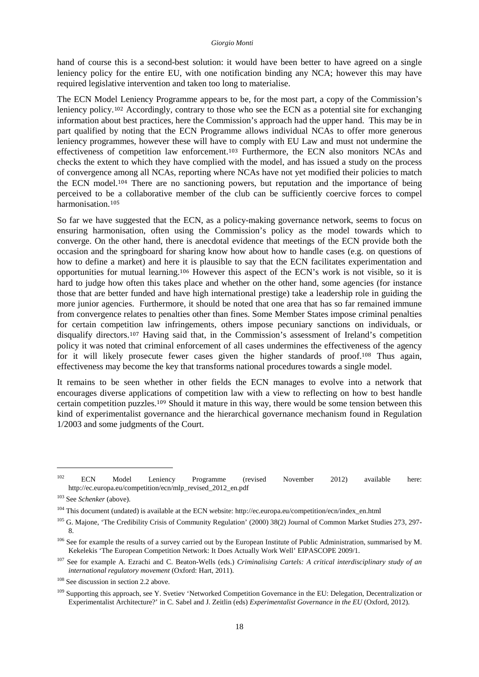hand of course this is a second-best solution: it would have been better to have agreed on a single leniency policy for the entire EU, with one notification binding any NCA; however this may have required legislative intervention and taken too long to materialise.

The ECN Mod[el L](#page-24-4)eniency Programme appears to be, for the most part, a copy of the Commission's leniency policy.<sup>102</sup> Accordingly, contrary to those who see the ECN as a potential site for exchanging information about best practices, here the Commission's approach had the upper hand. This may be in part qualified by noting that the ECN Programme allows individual NCAs to offer more generous leniency programmes, however these will have [to](#page-25-0) comply with EU Law and must not undermine the effectiveness of competition law enforcement.<sup>103</sup> Furthermore, the ECN also monitors NCAs and checks the extent to which they have complied with the model, and has issued a study on the process of convergence a[mo](#page-25-1)ng all NCAs, reporting where NCAs have not yet modified their policies to match the ECN model.<sup>104</sup> There are no sanctioning powers, but reputation and the importance of being perceived to [be a](#page-25-2) collaborative member of the club can be sufficiently coercive forces to compel harmonisation.<sup>105</sup>

So far we have suggested that the ECN, as a policy-making governance network, seems to focus on ensuring harmonisation, often using the Commission's policy as the model towards which to converge. On the other hand, there is anecdotal evidence that meetings of the ECN provide both the occasion and the springboard for sharing know how about how to handle cases (e.g. on questions of how to define a market) and here [it](#page-25-3) is plausible to say that the ECN facilitates experimentation and opportunities for mutual learning.<sup>106</sup> However this aspect of the ECN's work is not visible, so it is hard to judge how often this takes place and whether on the other hand, some agencies (for instance those that are better funded and have high international prestige) take a leadership role in guiding the more junior agencies. Furthermore, it should be noted that one area that has so far remained immune from convergence relates to penalties other than fines. Some Member States impose criminal penalties for certain competi[tion](#page-25-4) law infringements, others impose pecuniary sanctions on individuals, or disqualify directors.<sup>107</sup> Having said that, in the Commission's assessment of Ireland's competition policy it was noted that criminal enforcement of all cases undermines the effectiven[ess](#page-25-5) of the agency for it will likely prosecute fewer cases given the higher standards of proof.<sup>108</sup> Thus again, effectiveness may become the key that transforms national procedures towards a single model.

It remains to be seen whether in other fields the ECN manages to evolve into a network that encourages diverse applicat[ion](#page-25-6)s of competition law with a view to reflecting on how to best handle certain competition puzzles.<sup>109</sup> Should it mature in this way, there would be some tension between this kind of experimentalist governance and the hierarchical governance mechanism found in Regulation 1/2003 and some judgments of the Court.

<sup>102</sup> ECN Model Leniency Programme (revised November 2012) available here: [http://ec.europa.eu/competition/ecn/mlp\\_revised\\_2012\\_en.pdf](http://ec.europa.eu/competition/ecn/mlp_revised_2012_en.pdf)

<span id="page-25-0"></span><sup>103</sup> See *Schenker* (above).

<span id="page-25-1"></span><sup>104</sup> This document (undated) is available at the ECN website[: http://ec.europa.eu/competition/ecn/index\\_en.html](http://ec.europa.eu/competition/ecn/index_en.html)

<span id="page-25-2"></span><sup>&</sup>lt;sup>105</sup> G. Majone, 'The Credibility Crisis of Community Regulation' (2000) 38(2) Journal of Common Market Studies 273, 297-8.

<span id="page-25-7"></span><span id="page-25-3"></span><sup>&</sup>lt;sup>106</sup> See for example the results of a survey carried out by the European Institute of Public Administration, summarised by M. Kekelekis 'The European Competition Network: It Does Actually Work Well' EIPASCOPE 2009/1.

<span id="page-25-4"></span><sup>107</sup> See for example A. Ezrachi and C. Beaton-Wells (eds.) *Criminalising Cartels: A critical interdisciplinary study of an international regulatory movement* (Oxford: Hart, 2011).

<span id="page-25-5"></span><sup>&</sup>lt;sup>108</sup> See discussion in section 2.2 above.

<span id="page-25-6"></span><sup>&</sup>lt;sup>109</sup> Supporting this approach, see Y. Svetiev 'Networked Competition Governance in the EU: Delegation, Decentralization or Experimentalist Architecture?' in C. Sabel and J. Zeitlin (eds) *Experimentalist Governance in the EU* (Oxford, 2012).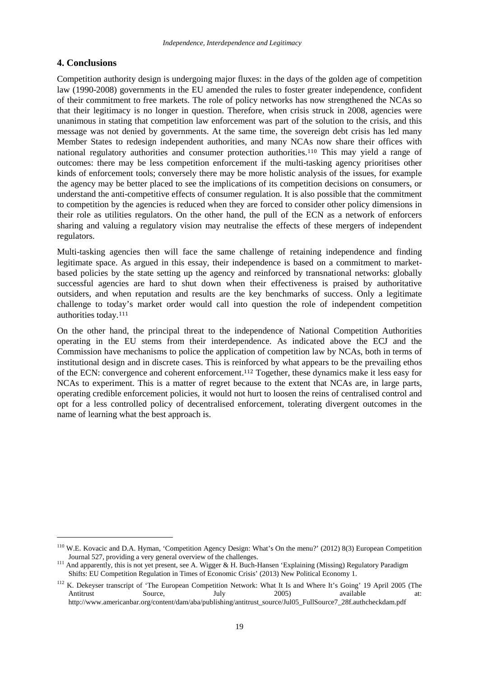#### <span id="page-26-0"></span>**4. Conclusions**

Competition authority design is undergoing major fluxes: in the days of the golden age of competition law (1990-2008) governments in the EU amended the rules to foster greater independence, confident of their commitment to free markets. The role of policy networks has now strengthened the NCAs so that their legitimacy is no longer in question. Therefore, when crisis struck in 2008, agencies were unanimous in stating that competition law enforcement was part of the solution to the crisis, and this message was not denied by governments. At the same time, the sovereign debt crisis has led many Member States to redesign independent authorities, and many NC[As n](#page-25-7)ow share their offices with national regulatory authorities and consumer protection authorities.<sup>110</sup> This may yield a range of outcomes: there may be less competition enforcement if the multi-tasking agency prioritises other kinds of enforcement tools; conversely there may be more holistic analysis of the issues, for example the agency may be better placed to see the implications of its competition decisions on consumers, or understand the anti-competitive effects of consumer regulation. It is also possible that the commitment to competition by the agencies is reduced when they are forced to consider other policy dimensions in their role as utilities regulators. On the other hand, the pull of the ECN as a network of enforcers sharing and valuing a regulatory vision may neutralise the effects of these mergers of independent regulators.

Multi-tasking agencies then will face the same challenge of retaining independence and finding legitimate space. As argued in this essay, their independence is based on a commitment to marketbased policies by the state setting up the agency and reinforced by transnational networks: globally successful agencies are hard to shut down when their effectiveness is praised by authoritative outsiders, and when reputation and results are the key benchmarks of success. Only a legitimate challenge to tod[ay'](#page-26-1)s market order would call into question the role of independent competition authorities today.<sup>111</sup>

On the other hand, the principal threat to the independence of National Competition Authorities operating in the EU stems from their interdependence. As indicated above the ECJ and the Commission have mechanisms to police the application of competition law by NCAs, both in terms of institutional design and in discrete cases. This is rei[nfor](#page-26-2)ced by what appears to be the prevailing ethos of the ECN: convergence and coherent enforcement.<sup>112</sup> Together, these dynamics make it less easy for NCAs to experiment. This is a matter of regret because to the extent that NCAs are, in large parts, operating credible enforcement policies, it would not hurt to loosen the reins of centralised control and opt for a less controlled policy of decentralised enforcement, tolerating divergent outcomes in the name of learning what the best approach is.

<sup>&</sup>lt;sup>110</sup> W.E. Kovacic and D.A. Hyman, 'Competition Agency Design: What's On the menu?' (2012) 8(3) European Competition

<span id="page-26-1"></span>Journal 527, providing a very general overview of the challenges.<br><sup>111</sup> And apparently, this is not yet present, see A. Wigger & H. Buch-Hansen 'Explaining (Missing) Regulatory Paradigm Shifts: EU Competition Regulation in Times of Economic Crisis' (2013) New Political Economy 1.

<span id="page-26-2"></span><sup>&</sup>lt;sup>112</sup> K. Dekeyser transcript of 'The European Competition Network: What It Is and Where It's Going' 19 April 2005 (The Antitrust Source, July 2005) available at: [http://www.americanbar.org/content/dam/aba/publishing/antitrust\\_source/Jul05\\_FullSource7\\_28f.authcheckdam.pdf](http://www.americanbar.org/content/dam/aba/publishing/antitrust_source/Jul05_FullSource7_28f.authcheckdam.pdf)